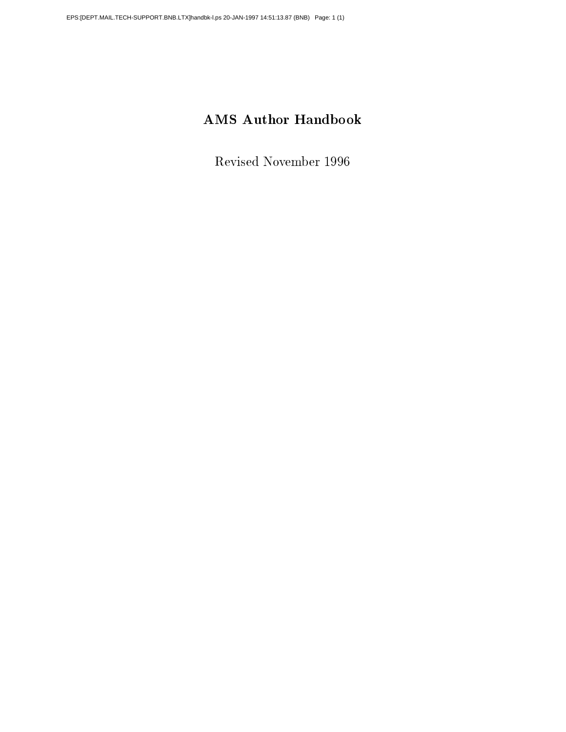# **AMS Author Handbook**

Revised November 1996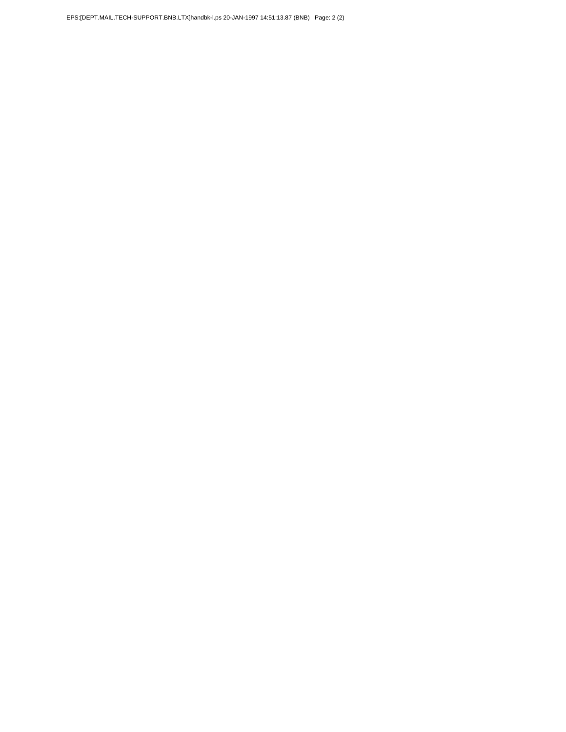EPS:[DEPT.MAIL.TECH-SUPPORT.BNB.LTX]handbk-l.ps 20-JAN-1997 14:51:13.87 (BNB) Page: 2 (2)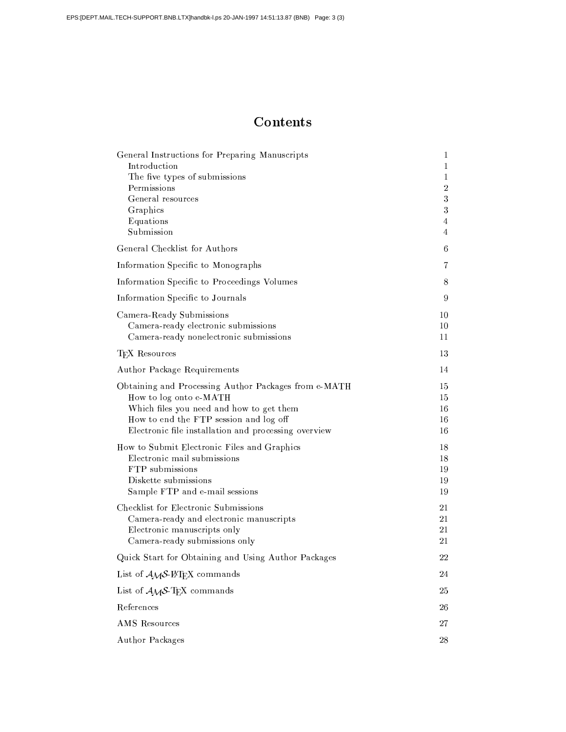## 89 :<;=:<>

| General Instructions for Preparing Manuscripts                                                         | 1                        |
|--------------------------------------------------------------------------------------------------------|--------------------------|
| Introduction                                                                                           | 1                        |
| The five types of submissions                                                                          | 1                        |
| Permissions                                                                                            | $\sqrt{2}$               |
| General resources                                                                                      | $\sqrt{3}$<br>$\sqrt{3}$ |
| Graphics<br>Equations                                                                                  | 4                        |
| Submission                                                                                             | 4                        |
|                                                                                                        |                          |
| General Checklist for Authors                                                                          | 6                        |
| Information Specific to Monographs                                                                     | 7                        |
| Information Specific to Proceedings Volumes                                                            | 8                        |
| Information Specific to Journals                                                                       | 9                        |
| Camera-Ready Submissions                                                                               | 10                       |
| Camera-ready electronic submissions                                                                    | 10                       |
| Camera-ready nonelectronic submissions                                                                 | 11                       |
| T <sub>F</sub> X Resources                                                                             | 13                       |
| Author Package Requirements                                                                            | 14                       |
| Obtaining and Processing Author Packages from e-MATH                                                   | 15                       |
| How to log onto e-MATH                                                                                 | 15                       |
| Which files you need and how to get them                                                               | 16                       |
| How to end the FTP session and log off                                                                 | 16                       |
| Electronic file installation and processing overview                                                   | 16                       |
| How to Submit Electronic Files and Graphics                                                            | 18                       |
| Electronic mail submissions                                                                            | 18                       |
| FTP submissions                                                                                        | 19                       |
| Diskette submissions                                                                                   | 19                       |
| Sample FTP and e-mail sessions                                                                         | 19                       |
| Checklist for Electronic Submissions                                                                   | 21                       |
| Camera-ready and electronic manuscripts                                                                | 21                       |
| Electronic manuscripts only                                                                            | 21                       |
| Camera-ready submissions only                                                                          | 21                       |
| Quick Start for Obtaining and Using Author Packages                                                    | 22                       |
| List of $\mathcal{A}_{\mathcal{M}}\mathcal{S}\text{-}I\!\!A\mathrm{T}_{\mathrm{E}}\mathrm{X}$ commands | 24                       |
| List of $\mathcal{A}_{\mathcal{M}}\mathcal{S}\text{-}\mathrm{T}_{E}X$ commands                         | 25                       |
| References                                                                                             | 26                       |
| <b>AMS</b> Resources                                                                                   | 27                       |
| Author Packages                                                                                        | 28                       |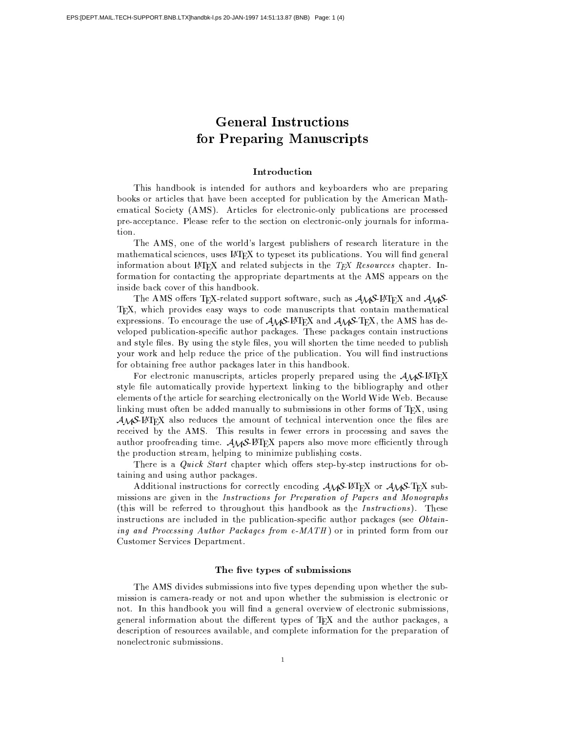## General Instructions for Preparing Manuscripts

#### Introduction

This handbook is intended for authors and keyboarders who are preparing books or articles that have been accepted for publication by the American Mathematical Society (AMS). Articles for electronic-only publications are processed pre-acceptance. Please refer to the section on electronic-only journals for information.

The AMS, one of the world's largest publishers of research literature in the mathematical sciences, uses IATEX to typeset its publications. You will find general information about L<sup>o</sup>T<sub>F</sub>X and related subjects in the  $T_F X$  Resources chapter. Information for contacting the appropriate departments at the AMS appears on the inside back cover of this handbook.

The AMS offers TEX-related support software, such as  $A_{\mathcal{M}}\mathcal{S}\text{-}I\text{-}F\text{-}T$  and  $A_{\mathcal{M}}\mathcal{S}\text{-}T$ TEX, which provides easy ways to code manuscripts that contain mathematical expressions. To encourage the use of  $\mathcal{A}_{\mathcal{M}}\mathcal{S}\text{-}\mathbb{F}\mathrm{F}_{\mathrm{E}}\mathrm{X}$  and  $\mathcal{A}_{\mathcal{M}}\mathcal{S}\text{-}\mathrm{F}_{\mathrm{E}}\mathrm{X}$ , the AMS has developed publication-specific author packages. These packages contain instructions and style files. By using the style files, you will shorten the time needed to publish your work and help reduce the price of the publication. You will find instructions for obtaining free author packages later in this handbook.

For electronic manuscripts, articles properly prepared using the  $A_{\mathcal{M}}\mathcal{S}\text{-}\mathbb{P}\mathrm{T}_{E}\mathrm{X}$ style file automatically provide hypertext linking to the bibliography and other elements of the article for searching electronically on the World Wide Web. Because linking must often be added manually to submissions in other forms of  $T_F X$ , using  $A_{\mathcal{M}}\mathcal{S}\text{-}\mathbb{F}\mathrm{F} \mathrm{F} \mathrm{X}$  also reduces the amount of technical intervention once the files are received by the AMS. This results in fewer errors in processing and saves the author proofreading time.  $A_{M}S$ -IATEX papers also move more efficiently through the production stream, helping to minimize publishing costs.

There is a *Quick Start* chapter which offers step-by-step instructions for obtaining and using author packages.

Additional instructions for correctly encoding  $A\mathcal{M}^{\mathcal{S}\text{-}\mathrm{I}\mathrm{F}\mathrm{F}\mathrm{X}}$  or  $A\mathcal{M}^{\mathcal{S}\text{-}\mathrm{T}\mathrm{F}\mathrm{X}}$  submissions are given in the Instructions for Preparation of Papers and Monographs (this will be referred to throughout this handbook as the *Instructions*). These instructions are included in the publication-specific author packages (see  $Obtain$ ing and Processing Author Packages from e-MATH) or in printed form from our Customer Services Department.

#### The five types of submissions

The AMS divides submissions into five types depending upon whether the submission is camera-ready or not and upon whether the submission is electronic or not. In this handbook you will find a general overview of electronic submissions, general information about the different types of TEX and the author packages, a description of resources available, and complete information for the preparation of nonelectronic submissions.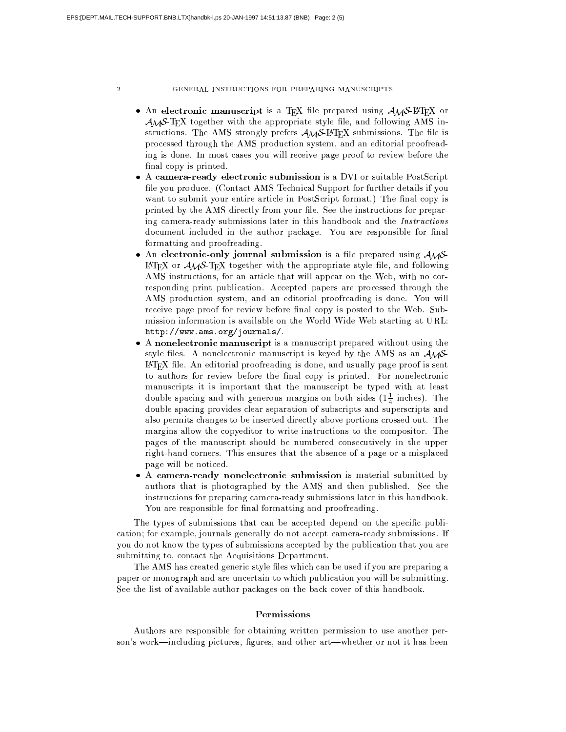#### GENERAL INSTRUCTIONS FOR PREPARING MANUSCRIPTS

- An electronic manuscript is a TEX file prepared using  $A_{\mathcal{M}}\mathcal{S}$ -IATEX or  $\mathcal{A}_{\mathcal{M}}\mathcal{S}$ -T<sub>E</sub>X together with the appropriate style file, and following AMS instructions. The AMS strongly prefers  $A_{\mathcal{M}}S$ -IAT<sub>F</sub>X submissions. The file is processed through the AMS production system, and an editorial proofreading is done. In most cases you will receive page proof to review before the final copy is printed.
- A camera-ready electronic submission is a DVI or suitable PostScript file you produce. (Contact AMS Technical Support for further details if you want to submit your entire article in PostScript format.) The final copy is printed by the AMS directly from your file. See the instructions for preparing camera-ready submissions later in this handbook and the *Instructions* document included in the author package. You are responsible for final formatting and proofreading.
- An electronic-only journal submission is a file prepared using  $A_{\mathcal{M}}\mathcal{S}$ -If  $T_{\rm F}X$  or  $A_{\mathcal{M}}S$ -T<sub>F</sub>X together with the appropriate style file, and following AMS instructions, for an article that will appear on the Web, with no corresponding print publication. Accepted papers are processed through the AMS production system, and an editorial proofreading is done. You will receive page proof for review before final copy is posted to the Web. Submission information is available on the World Wide Web starting at URL: http://www.ams.org/journals/.
- A nonelectronic manuscript is a manuscript prepared without using the style files. A nonelectronic manuscript is keyed by the AMS as an  $A_{\mathcal{M}}\mathcal{S}$ -LATEX file. An editorial proofreading is done, and usually page proof is sent to authors for review before the final copy is printed. For nonelectronic manuscripts it is important that the manuscript be typed with at least double spacing and with generous margins on both sides  $(1\frac{1}{4}$  inches). The double spacing provides clear separation of subscripts and superscripts and also permits changes to be inserted directly above portions crossed out. The margins allow the copyeditor to write instructions to the compositor. The pages of the manuscript should be numbered consecutively in the upper right-hand corners. This ensures that the absence of a page or a misplaced page will be noticed.
- A camera-ready nonelectronic submission is material submitted by authors that is photographed by the AMS and then published. See the instructions for preparing camera-ready submissions later in this handbook. You are responsible for final formatting and proofreading.

The types of submissions that can be accepted depend on the specific publication; for example, journals generally do not accept camera-ready submissions. If you do not know the types of submissions accepted by the publication that you are submitting to, contact the Acquisitions Department.

The AMS has created generic style files which can be used if you are preparing a paper or monograph and are uncertain to which publication you will be submitting. See the list of available author packages on the back cover of this handbook.

#### Permissions

Authors are responsible for obtaining written permission to use another person's work—including pictures, figures, and other art—whether or not it has been

 $\overline{2}$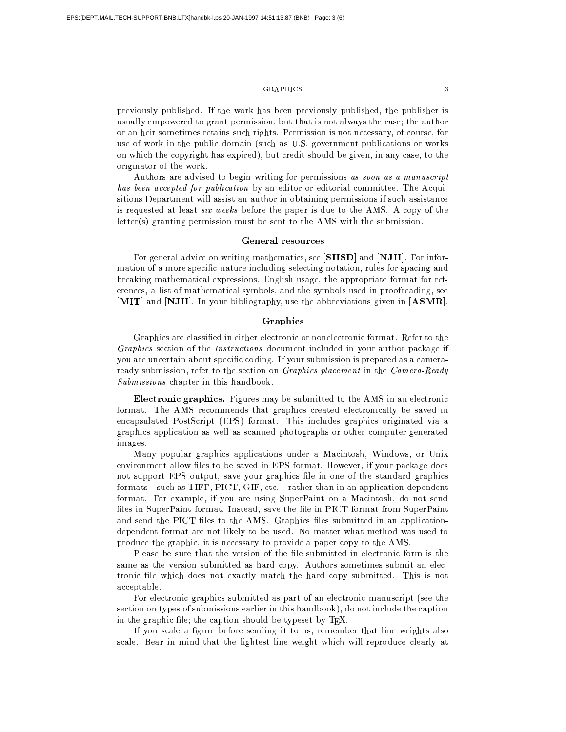#### $\alpha$  between the set of  $\alpha$  in  $\alpha$  in  $\alpha$  in  $\alpha$  is the set of  $\alpha$  in  $\alpha$  in  $\alpha$  is the set of  $\alpha$

previously published. If the work has been previously published, the publisher is usually empowered to grant permission, but that is not always the case; the author TVD5E`B <sup>f</sup>@"SUD5KMTpno@"LNSUn@CK<DM@"LFEHSUB#K5KMOQPf DMSd]fLNKÃxY\*@"DMnSUKNKMSUTpBSUKxB#TVL5B#@|PR@"KNKRE`DMjkÅqT`W<PRTVO#DNKM@pÅVWXTpD use of work in the public domain (such as U.S. government publications or works on which the copyright has expired), but credit should be given, in any case, to the originator of the work.

Authors are advised to begin writing for permissions as soon as a manuscript í#ã|ÐïRÏRÏ"åÚãpÔRÔRÏéè#âNÏFêhæÑHÓ èlÒ#ïNÝßXÔRã|âJßXÑ`å½mkjE`B\_@|caSULNTpDhTpDh@caSULNTVDNSE`G4PRTpnonSULNLM@"@pÃ e+f@:~P wO#SÝ KMSdLMSUTpB#K @"\lE`DNLMn@"BaLx+SUGUGQEHKNKNSUKMLZEHBE`OqLfTVDxSUBTpmqLFE`SUB#SUB#]A\l@"DNnoSUKNKNSUTVB#KxSÝW%KNOQPf E`KNKMSUKNLFEHBQPR@ SUK+DN@ wOq@"KNLM@cÚE`L+GU@EHKNL:Ð"ßPORQ7ÏFÏuà|Ð:mQ@RWTpDN@¿Lf@:\lE`\l@"D SUKcO#@:LNToLf@¿~^\_z-Ã7~/PRTp\ajT`WxLf@ GU@"LMLN@"DCÁXKFÂ]pDRE`BaLNSUB#]\Q@CDNnSUKMKNSUTpBonO#KNL7mQ@¿KN@"BaL+LNTL <sup>f</sup>@:~A^\_zo+SdL <sup>f</sup> <sup>L</sup> <sup>f</sup>@:KNOqm#nSUKNKMSUTpB%Ã

#### General resources

the contract of the distribution of the distribution of the contract of the contract of the contract of the contract of the contract of the contract of the contract of the contract of the contract of the contract of the co mation of a more specific nature including selecting notation, rules for spacing and breaking mathematical expressions, English usage, the appropriate format for references, a list of mathematical symbols, and the symbols used in proofreading, see  $\text{[MIT]}$  and  $\text{[NJH]}$ . In your bibliography, use the abbreviations given in  $\text{[ASM]}$ .

#### Graphics

?ADRE`\ fStPuK[EHDN@ PRGEHKNKNSÝgQ@|c:SUB@"SULf@"D7@"GU@PRLMDNTVB#SP7TpD4B#TpBq@"GU@PRLNDMTpB#SP WXTVDNnE`LÃ\*+@RWX@CD<LMT:Lf@ Graphics section of the *Instructions* document included in your author package if you are uncertain about specific coding. If your submission is prepared as a cameraready submission, refer to the section on Graphics placement in the Camera-Ready  $Submissions$  chapter in this handbook.

**Electronic graphics.** Figures may be submitted to the AMS in an electronic WXTVDNnE`LÃ e+f@~^\_zDN@|PRTpnon@"BQcK
L fE`L]pDRE`\ fSPRKPuDN@EHLN@c @"GU@PRLMDNTpBqStPCE`GUGUjÚmQ@\_KRE|ip@cSUB @"BlP"E`\#KMO#GE`LM@c)Y\*TVKNLFzqPRDNSU\#L½Á vYxzqÂWTpDNnE`L|Ã e+fSUKSUBQPRGUOQca@CK]VDFEH\ fSPRKTVDNSU]pSUBQEHLN@ciaSEÊE  $\mathcal{N}$  for the construction of the construction of  $\mathcal{N}$  function of  $\mathcal{N}$  and  $\mathcal{N}$ images.

 $\equiv$  Changes in O  $\pm$  Changes in Gustave's points and defining  $\pm$  Changnes  $\pm$  Changnes  $\pm$ @"BaiaSUDNTVB#n@"BaL+E`GUGUT`gQGU@"K+LMTml@:KFE|iV@coSdB vY zoWXTpDMnEHLÃ T`7@"ip@"D|ÅlSW4jpTVO#D+\QEpPM}pEH]p@:caTa@"K  $B$  the component variable variable  $\mathbb{R}^n$  that is possible  $\mathbb{R}^n$  and  $\mathbb{R}^n$ formats—such as TIFF, PICT, GIF, etc.—rather than in an application-dependent format. For example, if you are using SuperPaint on a Macintosh, do not send files in SuperPaint format. Instead, save the file in PICT format from SuperPaint and send the PICT files to the AMS. Graphics files submitted in an applicationdependent format are not likely to be used. No matter what method was used to \#DMT#caOQPR@:L f@A]pDRE`\ fSP`ÅqSUL5SUK+B#@Pu@"KNKRE`DNj½LNT\#DMT`ikSca@AE\QE`\l@"D PRTV\ajLNTL f@A~^\_zÃ

Y4GU@EHKN@mQ@KMO#DN@L fE`LAL f@ip@"DMKNSUTpBT`W+Lf@:gQGU@KNO#mqnSULNLM@c\_SUB\_@CGd@|PRLNDMTpB#SP¿WXTVDNn§SUKALf@  $K$ eta:L f $E$  de  $\mathcal{E}$  fe $\mathcal{E}$  fe $\mathcal{E}$  for  $\mathcal{E}$  of the L ftpd. Note that  $\mathcal{E}$  for  $\mathcal{E}$  for  $\mathcal{E}$ tronic file which does not exactly match the hard copy submitted. This is not acceptable.

 $T$ pdrei $\Gamma$ pdrei $\Gamma$ a kno $\Gamma$ mensulnum. The second time space  $\Gamma$  and  $\Gamma$  affects between  $\Gamma$  and  $\Gamma$ section on types of submissions earlier in this handbook), do not include the caption SUBL <sup>f</sup>@:]VDFE`\ <sup>f</sup>SP7gQGU@DGqLf@:P"EH\#LNSUTpBKfTpO#Gcoml@LJja\l@"KN@CL maj ev <sup>Ã</sup>

IW+jpTVOÊKRP"E`GU@EgQ]pOqDN@ml@RWXTVDN@KM@"BQcaSUB#]\_SULALNTO#K|Å4DN@"no@"nml@"D L fE`L:GUSUB#@5@CSd]fLNK
EHGdKMT KRP"E`GU@pÃ\_Qu@pÃ\_Qu@pÃ\_Qu@pÃ\_Qu@eqdsubql fe`ling@ogdSubql fe`ling@" (100 mm + SugdG4DM@" (100 mm + SugdG4Dmgd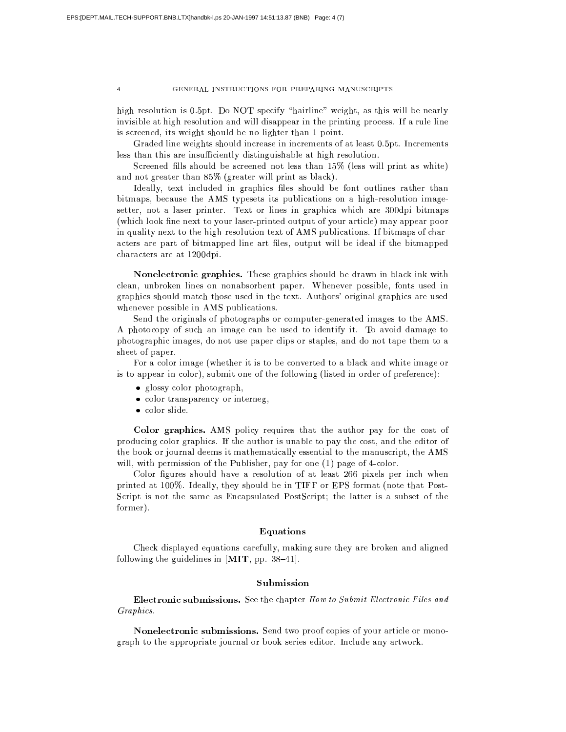#### $\alpha$  divide in industry diagram denotes in the set  $\alpha$  divided by  $\alpha$

high resolution is 0.5pt. Do NOT specify "hairline" weight, as this will be nearly SUBaiaSdKMSUm#GU@ E`L <sup>f</sup>SU]f DN@CKNTpGUO#LMSUTpBEHBQc+SUGUGÕcaSUKRE`\#\l@E`D7SUBL <sup>f</sup>@ \#DMSUBkLMSUB#]
\qDNT#PR@"KMKÃxIWxEADNOqGd@AGUSUB#@ is screened, its weight should be no lighter than 1 point.

Graded line weights should increase in increments of at least 0.5pt. Increments less than this are insufficiently distinguishable at high resolution.

Screened fills should be screened not less than  $15\%$  (less will print as white) EHBQcoB#TpL7]pDM@E`LM@"D L fE`B\_p/t®ÁX]VDN@EHLN@"Dh+SUGdGl\#DMSdBaL EHK+m#GEpPM}#Â"Ã

INca@|E`GUGUjkÅhLN@R×#L\_SUBQPuGdOlca@c2SUB]pDRE`\ fSPRKÙgQGU@"KÊKfTpOqGtc ml@ÚWXTVBkLTVO#LNGUSUB#@"K\_DRE`L f@"DLfEHB bitmaps, because the AMS typesets its publications on a high-resolution image-KM@"LNLM@"DÅhB#TpLE GE`KN@CD\#DNSUBaLN@"D|Ã <sup>e</sup>@R×#LTpDoGdSUB#@CKSdB]VDFE`\ <sup>f</sup>SPRKfSPf E`DM@ÊspVpca\#Shm#SULNnE`\#K (which look fine next to your laser-printed output of your article) may appear poor SUB WOLESNINT:L for a formula for the formula formula for the formula formula for the formula formula for the formula for the formula for the formula for the formula for the formula for the formula for the formula for the  $E=\{E\}$  and the substitution of the substitution of the substitution of the substitution of the substitution of the substitution of the substitution of the substitution of the substitution of the substitution of the subs characters are at 1200dpi.

Nonelectronic graphics. These graphics should be drawn in black ink with The contraction of the contraction of the contraction of the contraction of the contraction of the contraction of the contraction of the contraction of the contraction of the contraction of the contraction of the contracti  $\mathcal{L}$  for example lines as a cone context lines of the late  $\mathcal{L}$  for  $\mathcal{L}$  for  $\mathcal{L}$  for  $\mathcal{L}$ whenever possible in AMS publications.

Send the originals of photographs or computer-generated images to the AMS.  $\blacksquare$ \ fTpLNTV]pDRE`\ fSPSdnE`]V@"KÅacaTB#TpL+O#KM@:\QEH\Q@"D PuGdSU\#K+TVD+KNLRE`\#GU@"K|ÅQE`BlccaTB#TVL+LFEH\Q@ALf@"n LMTE sheet of paper.

For a color image (whether it is to be converted to a black and white image or is to appear in color), submit one of the following (listed in order of preference):

- $\bullet$  glossy color photograph,
- color transparency or interneg,
- $\bullet$  color slide.

Color graphics. AMS policy requires that the author pay for the cost of  $\mathcal{D}=\mathcal{D}=\mathcal{D}=\mathcal{D}=\mathcal{D}=\mathcal{D}=\mathcal{D}=\mathcal{D}=\mathcal{D}=\mathcal{D}=\mathcal{D}=\mathcal{D}=\mathcal{D}=\mathcal{D}=\mathcal{D}=\mathcal{D}=\mathcal{D}=\mathcal{D}=\mathcal{D}=\mathcal{D}=\mathcal{D}=\mathcal{D}=\mathcal{D}=\mathcal{D}=\mathcal{D}=\mathcal{D}=\mathcal{D}=\mathcal{D}=\mathcal{D}=\mathcal{D}=\mathcal{D}=\mathcal{D}=\mathcal{D}=\mathcal{D}=\mathcal{D}=\mathcal{D}=\mathcal{$  $\Gamma$  matrix that point the distribution of the distribution of the distribution of the distribution of the distribution of the distribution of the distribution of the distribution of the distribution of the distribution o will, with permission of the Publisher, pay for one  $(1)$  page of 4-color.

Color figures should have a resolution of at least 266 pixels per inch when  $\rm{printed}$  at 100%. Ideally, they should be in TIFF or EPS format (note that Post-Script is not the same as Encapsulated PostScript; the latter is a subset of the former).

#### Equations

Check displayed equations carefully, making sure they are broken and aligned  $\cdots$  , the substitution of the substitution of  $\overline{S}$  and  $\cdots$   $\overline{S}$  and  $\cdots$ 

#### <sup>V</sup> ¹-Ú»Öþ|þ"»·#´

kl Xù#º`µ|¶`·l´<»Jº þC¹-Ú»Öþ|þ"»·#´xþ\$n za@"@7Lf@ Pf E`\#LM@"D+õ=Ñ\$Q\_âNÑháQÒ#ïCô
ßtâ ÌNdÏRÔRâJÓFÑHå#ßXÔ}|xßNUÏRÐZãHåQê  $Graphics$ .

]·l´<ù ù#º`µ|¶`·Q´4»Xºþ"¹-Ú»JþþC»·l´[þ\$n z@"BQcLJ7T\#DNTaT`W<PuTp\#SU@"K+THW%jpTpOqDZEHDNLNSPRGU@hTpD7nTpBqT` ]VDFE`\ <sup>f</sup> LMT
L <sup>f</sup>@
EH\#\#DNTV\#DNSEHLN@xÄRTpOqDNBQEHG-TpD7mQTaTp}oKN@"DMSU@"K @cSdLMTpD|ÃxIJBQPRGUOQc@=EHBajE`DNLJ7TpDM}-Ã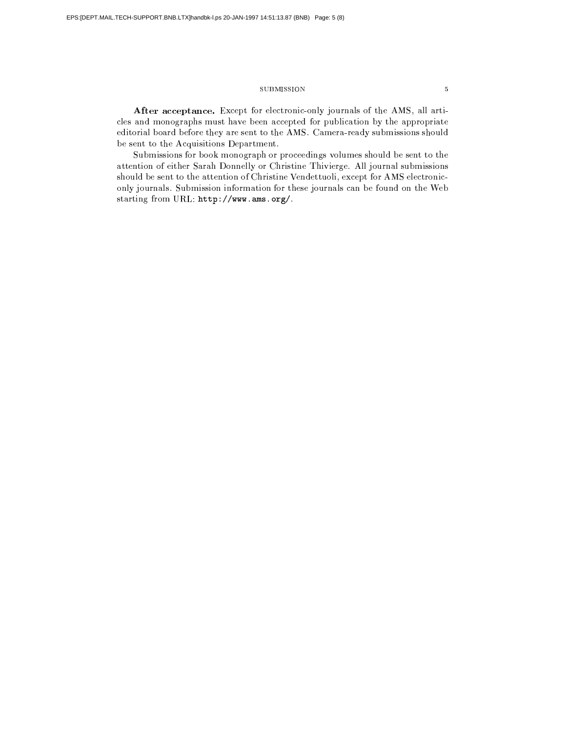#### **SUBMISSION**

After acceptance. Except for electronic-only journals of the AMS, all articles and monographs must have been accepted for publication by the appropriate editorial board before they are sent to the AMS. Camera-ready submissions should be sent to the Acquisitions Department.

Submissions for book monograph or proceedings volumes should be sent to the attention of either Sarah Donnelly or Christine Thivierge. All journal submissions should be sent to the attention of Christine Vendettuoli, except for AMS electroniconly journals. Submission information for these journals can be found on the Web starting from URL: http://www.ams.org/.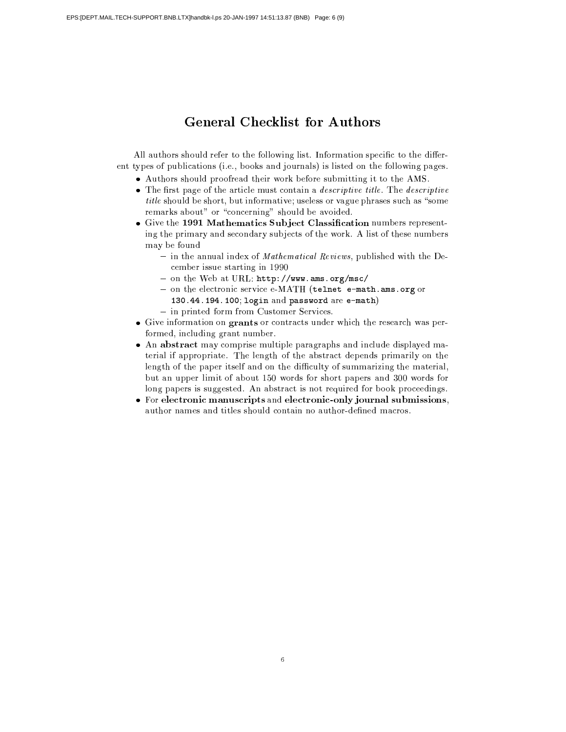## **General Checklist for Authors**

All authors should refer to the following list. Information specific to the different types of publications (i.e., books and journals) is listed on the following pages.

- Authors should proofread their work before submitting it to the AMS.
- The first page of the article must contain a *descriptive title*. The *descriptive title* should be short, but informative; useless or vague phrases such as "some remarks about" or "concerning" should be avoided.
- Give the 1991 Mathematics Subject Classification numbers representing the primary and secondary subjects of the work. A list of these numbers may be found
	- in the annual index of *Mathematical Reviews*, published with the December issue starting in 1990
	- on the Web at URL: http://www.ams.org/msc/
	- on the electronic service e-MATH (telnet e-math.ams.org or 130.44.194.100; login and password are e-math)
	- in printed form from Customer Services.
- Give information on grants or contracts under which the research was performed, including grant number.
- An abstract may comprise multiple paragraphs and include displayed material if appropriate. The length of the abstract depends primarily on the length of the paper itself and on the difficulty of summarizing the material, but an upper limit of about 150 words for short papers and 300 words for long papers is suggested. An abstract is not required for book proceedings.
- For electronic manuscripts and electronic-only journal submissions, author names and titles should contain no author-defined macros.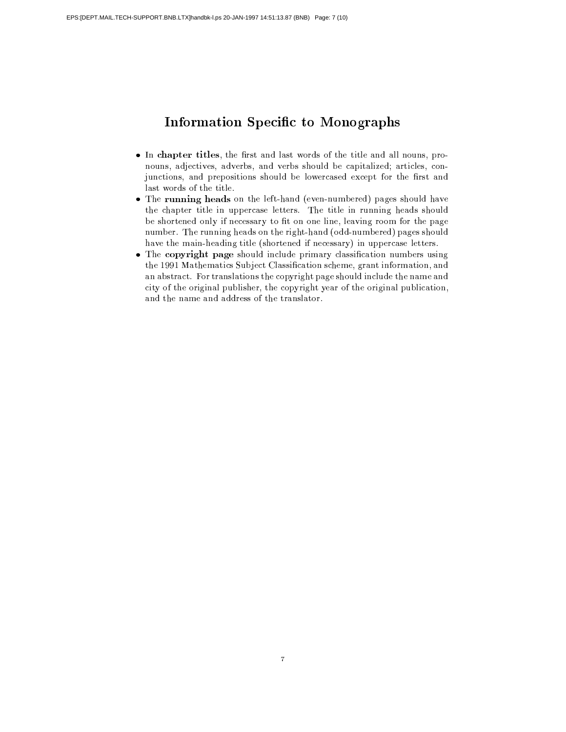## Information Specific to Monographs

- In chapter titles, the first and last words of the title and all nouns, pronouns, adjectives, adverbs, and verbs should be capitalized; articles, conjunctions, and prepositions should be lowercased except for the first and last words of the title.
- The running heads on the left-hand (even-numbered) pages should have the chapter title in uppercase letters. The title in running heads should be shortened only if necessary to fit on one line, leaving room for the page number. The running heads on the right-hand (odd-numbered) pages should have the main-heading title (shortened if necessary) in uppercase letters.
- The copyright page should include primary classification numbers using the 1991 Mathematics Subject Classification scheme, grant information, and an abstract. For translations the copyright page should include the name and city of the original publisher, the copyright year of the original publication, and the name and address of the translator.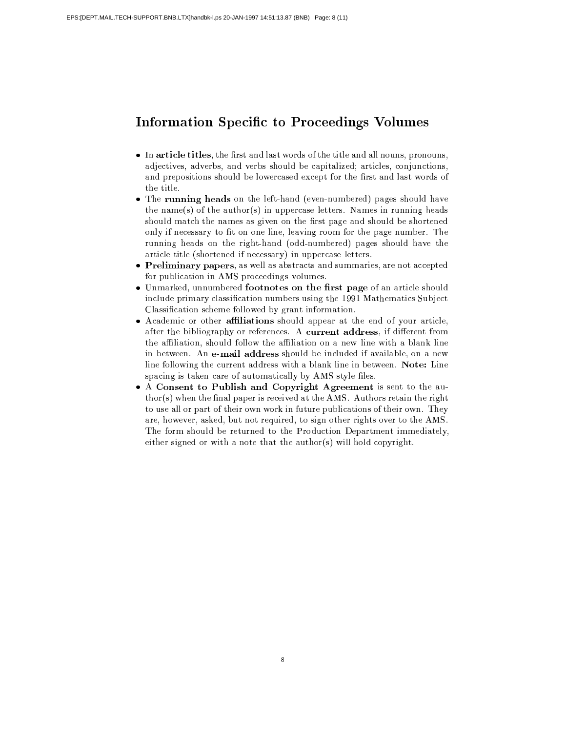## Information Specific to Proceedings Volumes

- In article titles, the first and last words of the title and all nouns, pronouns, adjectives, adverbs, and verbs should be capitalized; articles, conjunctions, and prepositions should be lowercased except for the first and last words of the title.
- The running heads on the left-hand (even-numbered) pages should have the name(s) of the author(s) in uppercase letters. Names in running heads should match the names as given on the first page and should be shortened only if necessary to fit on one line, leaving room for the page number. The running heads on the right-hand (odd-numbered) pages should have the article title (shortened if necessary) in uppercase letters.
- Preliminary papers, as well as abstracts and summaries, are not accepted for publication in AMS proceedings volumes.
- Unmarked, unnumbered footnotes on the first page of an article should include primary classification numbers using the 1991 Mathematics Subject Classification scheme followed by grant information.
- Academic or other affiliations should appear at the end of your article, after the bibliography or references. A current address, if different from the affiliation, should follow the affiliation on a new line with a blank line in between. An e-mail address should be included if available, on a new line following the current address with a blank line in between. Note: Line spacing is taken care of automatically by AMS style files.
- A Consent to Publish and Copyright Agreement is sent to the author(s) when the final paper is received at the AMS. Authors retain the right to use all or part of their own work in future publications of their own. They are, however, asked, but not required, to sign other rights over to the AMS. The form should be returned to the Production Department immediately, either signed or with a note that the author(s) will hold copyright.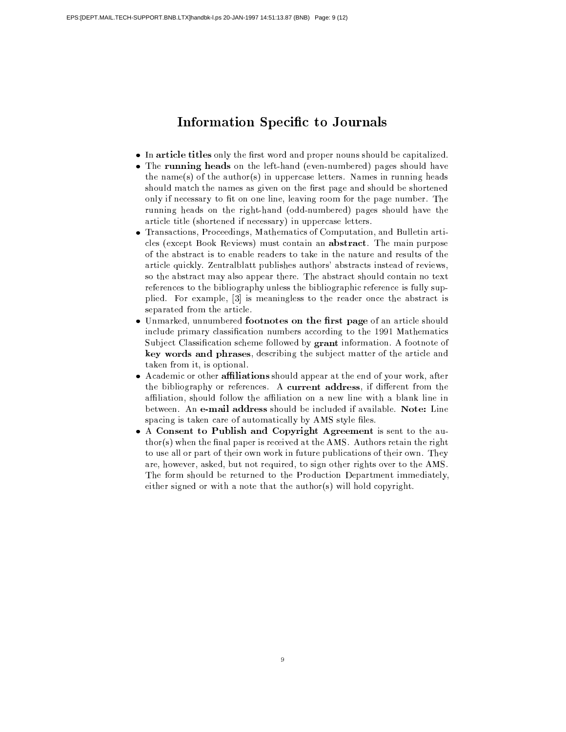## Information Specific to Journals

- In article titles only the first word and proper nouns should be capitalized.
- The running heads on the left-hand (even-numbered) pages should have the name(s) of the author(s) in uppercase letters. Names in running heads should match the names as given on the first page and should be shortened only if necessary to fit on one line, leaving room for the page number. The running heads on the right-hand (odd-numbered) pages should have the article title (shortened if necessary) in uppercase letters.
- Transactions, Proceedings, Mathematics of Computation, and Bulletin articles (except Book Reviews) must contain an abstract. The main purpose of the abstract is to enable readers to take in the nature and results of the article quickly. Zentralblatt publishes authors' abstracts instead of reviews. so the abstract may also appear there. The abstract should contain no text references to the bibliography unless the bibliographic reference is fully supplied. For example, [3] is meaningless to the reader once the abstract is separated from the article.
- Unmarked, unnumbered footnotes on the first page of an article should include primary classification numbers according to the 1991 Mathematics Subject Classification scheme followed by **grant** information. A footnote of key words and phrases, describing the subject matter of the article and taken from it, is optional.
- Academic or other affiliations should appear at the end of your work, after the bibliography or references. A current address, if different from the affiliation, should follow the affiliation on a new line with a blank line in between. An e-mail address should be included if available. Note: Line spacing is taken care of automatically by AMS style files.
- A Consent to Publish and Copyright Agreement is sent to the author(s) when the final paper is received at the AMS. Authors retain the right to use all or part of their own work in future publications of their own. They are, however, asked, but not required, to sign other rights over to the AMS. The form should be returned to the Production Department immediately, either signed or with a note that the author(s) will hold copyright.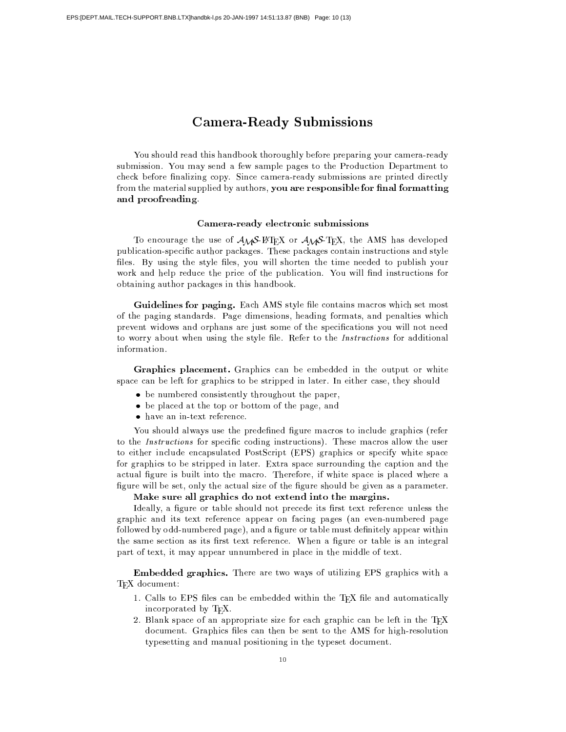### **Camera-Ready Submissions**

You should read this handbook thoroughly before preparing your camera-ready submission. You may send a few sample pages to the Production Department to check before finalizing copy. Since camera-ready submissions are printed directly from the material supplied by authors, you are responsible for final formatting and proofreading

#### Camera-ready electronic submissions

To encourage the use of  $A_{\mathcal{M}}S$ -IAT<sub>E</sub>X or  $A_{\mathcal{M}}S$ -T<sub>E</sub>X, the AMS has developed publication-specific author packages. These packages contain instructions and style files. By using the style files, you will shorten the time needed to publish your work and help reduce the price of the publication. You will find instructions for obtaining author packages in this handbook.

Guidelines for paging. Each AMS style file contains macros which set most of the paging standards. Page dimensions, heading formats, and penalties which prevent widows and orphans are just some of the specifications you will not need to worry about when using the style file. Refer to the *Instructions* for additional information.

Graphics placement. Graphics can be embedded in the output or white space can be left for graphics to be stripped in later. In either case, they should

- be numbered consistently throughout the paper,
- be placed at the top or bottom of the page, and
- have an in-text reference.

You should always use the predefined figure macros to include graphics (refer to the *Instructions* for specific coding instructions). These macros allow the user to either include encapsulated PostScript (EPS) graphics or specify white space for graphics to be stripped in later. Extra space surrounding the caption and the actual figure is built into the macro. Therefore, if white space is placed where a figure will be set, only the actual size of the figure should be given as a parameter.

Make sure all graphics do not extend into the margins.

Ideally, a figure or table should not precede its first text reference unless the graphic and its text reference appear on facing pages (an even-numbered page followed by odd-numbered page), and a figure or table must definitely appear within the same section as its first text reference. When a figure or table is an integral part of text, it may appear unnumbered in place in the middle of text.

**Embedded graphics.** There are two ways of utilizing EPS graphics with a TFX document:

- 1. Calls to EPS files can be embedded within the T<sub>F</sub>X file and automatically incorporated by T<sub>F</sub>X.
- 2. Blank space of an appropriate size for each graphic can be left in the TFX document. Graphics files can then be sent to the AMS for high-resolution typesetting and manual positioning in the typeset document.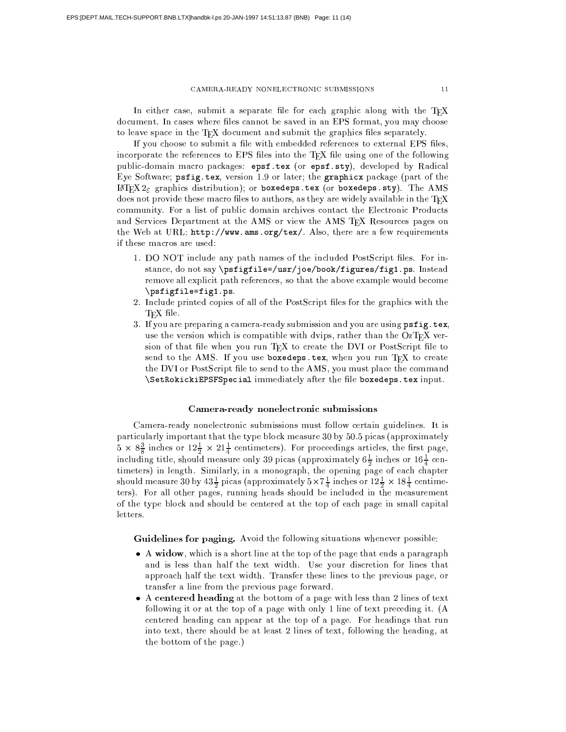#### $\alpha$  in the international component of  $\alpha$  is the contract of  $\alpha$  is the contract of  $\alpha$

IJB $\Gamma$  for the phase  $\Gamma$  energy in the form  $\Gamma$ document. In cases where files cannot be saved in an EPS format, you may choose LMTGd@|E|ip@ KM\QEpPu@:SUBL <sup>f</sup>@ eva caT#PROqn@"BaL E`BlcKNOqm#nSUL7Lf@A]pDRE`\ <sup>f</sup>StPuK7gQGU@"K KM@"\QE`DRE`LM@"GUjkÃ

If you choose to submit a file with embedded references to external EPS files, incorporate the references to EPS files into the T<sub>E</sub>X file using one of the following  $\mathcal{P}$  , and the contract value  $\mathcal{P}$  . The contract value with which we have the contract value of  $\mathcal{P}$ vjV@
zaTHWXLJZEHDN@DG .¼9%¹%=4;-%º Ålip@"DMKNSUTpBbpÃ¥TpDAGE`LM@"DGlLf@ = <6\$.!, %º \QEVPM}pE`]p@Á\QE`DMLTHW5Lf@ IMTEX  $2\varepsilon$  graphics distribution); or boxedeps.tex (or boxedeps.sty). The AMS  $\mathbf{F}$ iasca $\mathbf{F}$ ial for  $\mathbf{F}$ iasca $\mathbf{F}$ iasca $\mathbf{F}$ iasca $\mathbf{F}$ community. For a list of public domain archives contact the Electronic Products  $\Box$  DNIC'DNIASPR@" LAL for  $\Box$  Lating the DNIC  $\Box$ La formation of the subset of the subset of the definition of the definition of the subset of the subset of the  $\alpha$ SÝW<L <sup>f</sup>@"KM@:nEVPRDNTVKZEHDN@AO#KN@|c \*

- bVÃ ¿o e SdBlPRGUOQca@E`Baj\_\QEHLf BQEHn@"KhT`W5L <sup>f</sup>@SUBQPRGUOQca@|cÊY\*TpKMLFz#PuDNSU\#LhgQGU@"KÃ#TVDASdB stance, do not say \psfigfile=/usr/joe/book/figures/fig1.ps. Instead DM@"nT`iV@5E`GUGa@R×#\#GUSPRSUL4\QE`L <sup>f</sup> DM@RWX@"DM@"BQPR@"K|ÅlKNTALfEHLxLf@ E`mlT`ip@7@R×QE`n\qGd@ 5TVO#GcAmQ@|PRTpno@  $\sqrt{p}$ sfigfile=fig1.ps
- 2. Include printed copies of all of the PostScript files for the graphics with the  $T_F X$  file.
- sqÃ5IWajpTVO=EHDN@x\qDN@"\QEHDNSUB#] E+P"EHn@"DRE|JDN@EVcaj KMO#m#noSdKMKNSUTpBAE`BQchjVTpO:E`DM@xO#KNSUB#] .9%¹%=54K-%º <sup>Å</sup> Oqka Little Support Support Support Support Support Support Cike Sulf city in the Cike Support of the District sion of that file when you run TFX to create the DVI or PostScript file to  $\mathbf{N}$  is a set  $\mathbf{N}$  of  $\mathbf{N}$  . The following  $\mathbf{N}$  is the  $\mathbf{N}$  set  $\mathbf{N}$  . The  $\mathbf{N}$ <sup>L</sup> f@ hI%TVD[Y\*TVKNLFzqPRDNSU\#L4glGd@7LNT¿KN@"BQcLMTALf@+~A^\_z-Å`jVTpOnO#KNL\*\#GEpPR@+L f@ PRTpnonEHBQc  $\lambda$  -  $\lambda$  -  $\lambda$  -  $\lambda$  -  $\lambda$  -  $\lambda$  -  $\lambda$  -  $\lambda$  -  $\lambda$  -  $\lambda$  -  $\lambda$  -  $\lambda$  -  $\lambda$  -  $\lambda$  -  $\lambda$  -  $\lambda$  -  $\lambda$  -  $\lambda$  -  $\lambda$  -  $\lambda$  -  $\lambda$  -  $\lambda$  -  $\lambda$  -  $\lambda$  -  $\lambda$  -  $\lambda$  -  $\lambda$  -  $\lambda$  -  $\lambda$  -  $\lambda$  -  $\lambda$  -  $\lambda$

#### úa ann an Comanan an Comanan an Dùamhain an Dùamhain an Dùamhain an Dùamhain an Dùamhain an Dùamhain an Dùamhai

Camera-ready nonelectronic submissions must follow certain guidelines. It is  $\Box$  and the contract feature  $\Box$  feature  $\Box$  feature  $\Box$  feature  $\Box$  feature  $\Box$  feature  $\Box$  feature  $\Box$  feature  $\Box$  feature  $\Box$  feature  $\Box$  feature  $\Box$  feature  $\Box$  feature  $\Box$  feature  $\Box$  feature  $\Box$  feat  $5 \times 8\frac{3}{2}$  inches or  $12\frac{1}{2} \times 21\frac{1}{2}$  centimeters). For proceedings articles, the first page. including title, should measure only 39 picas (approximately  $6\frac{1}{\pi}$  inches or  $16\frac{1}{\pi}$  centimeters) in length. Similarly, in a monograph, the opening page of each chapter should measure 30 by  $43\frac{1}{5}$  picas (approximately  $5 \times 7\frac{1}{7}$  inches or  $12\frac{1}{5} \times 18\frac{1}{7}$  centime-LM@"DNKRÂ"ÃqTpD:E`GUG4TpL f@"DA\QEH]p@"K|Å%DMO#B#B#SUB#] f@EVcaK:KfTpO#Gc½mQ@SUBQPRGUOQca@|cSdB½Lf@no@E`KMO#DN@"no@"BaL of the type block and should be centered at the top of each page in small capital letters.

Guidelines for paging. Avoid the following situations whenever possible:

- A widow, which is a short line at the top of the page that ends a paragraph and is less than half the text width. Use your discretion for lines that approach half the text width. Transfer these lines to the previous page, or LMDFEHB#KJWX@CD EGdSUB#@WXDNTVn <sup>L</sup> f@A\#DN@CikSUTVO#K+\QE`]V@hWXTpDMZEHDFc-Ã
- A centered heading at the bottom of a page with less than 2 lines of text following it or at the top of a page with only 1 line of text preceding it. (A Pu@"BaLN@"DM@c f@EpcSdBq]ÙPCE`BÇE`\q\Q@EHDEHLALf@oLNTp\ÚTHWEo\QEH]p@pÃqTpD f@|EpcaSUB#]VK:LfEHL:DNOqB into text, there should be at least 2 lines of text, following the heading, at L for a contract part of the American part of the American part of the American part of the American part of t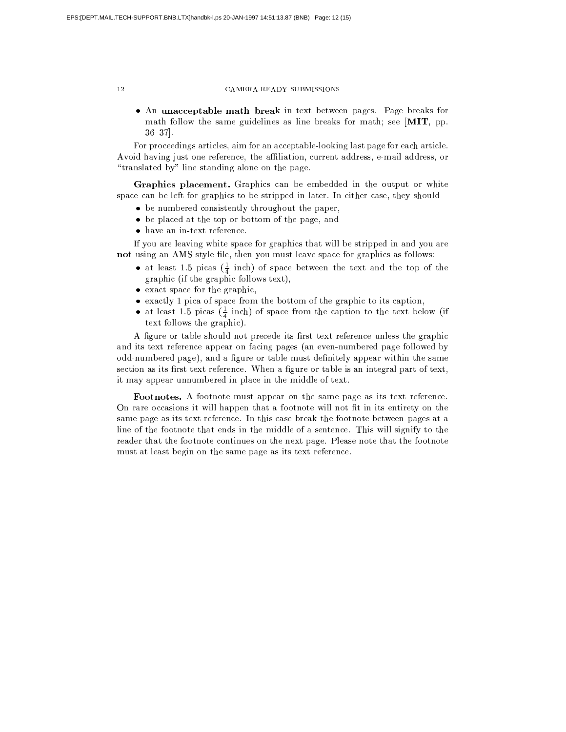#### CAMERA-READY SUBMISSIONS

• An unacceptable math break in text between pages. Page breaks for math follow the same guidelines as line breaks for math; see [MIT, pp.  $36 - 37$ .

For proceedings articles, aim for an acceptable-looking last page for each article. Avoid having just one reference, the affiliation, current address, e-mail address, or "translated by" line standing alone on the page.

Graphics placement. Graphics can be embedded in the output or white space can be left for graphics to be stripped in later. In either case, they should

- be numbered consistently throughout the paper,
- be placed at the top or bottom of the page, and
- have an in-text reference.

If you are leaving white space for graphics that will be stripped in and you are not using an AMS style file, then you must leave space for graphics as follows:

- at least 1.5 picas ( $\frac{1}{4}$  inch) of space between the text and the top of the graphic (if the graphic follows text),
- exact space for the graphic,
- exactly 1 pica of space from the bottom of the graphic to its caption,
- at least 1.5 picas  $(\frac{1}{4}$  inch) of space from the caption to the text below (if text follows the graphic).

A figure or table should not precede its first text reference unless the graphic and its text reference appear on facing pages (an even-numbered page followed by odd-numbered page), and a figure or table must definitely appear within the same section as its first text reference. When a figure or table is an integral part of text, it may appear unnumbered in place in the middle of text.

Footnotes. A footnote must appear on the same page as its text reference. On rare occasions it will happen that a footnote will not fit in its entirety on the same page as its text reference. In this case break the footnote between pages at a line of the footnote that ends in the middle of a sentence. This will signify to the reader that the footnote continues on the next page. Please note that the footnote must at least begin on the same page as its text reference.

12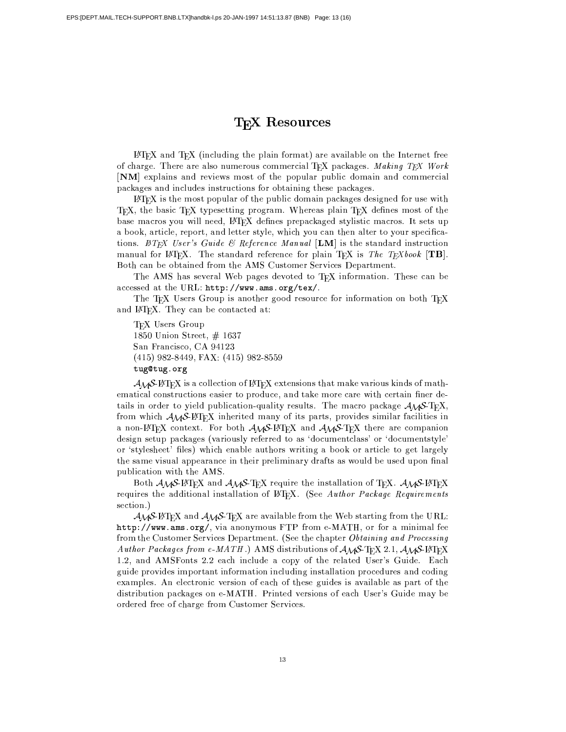### **T<sub>F</sub>X** Resources

 $\text{LFTF}$  and T<sub>E</sub>X (including the plain format) are available on the Internet free of charge. There are also numerous commercial T<sub>E</sub>X packages. Making T<sub>E</sub>X Work [NM] explains and reviews most of the popular public domain and commercial packages and includes instructions for obtaining these packages.

 $IAT$ <sub>F</sub>X is the most popular of the public domain packages designed for use with  $T_{F}X$ , the basic  $T_{F}X$  typesetting program. Whereas plain  $T_{F}X$  defines most of the base macros you will need, ET<sub>E</sub>X defines prepackaged stylistic macros. It sets up a book, article, report, and letter style, which you can then alter to your specifications. *EXTEX User's Guide* & Reference Manual [LM] is the standard instruction manual for IATEX. The standard reference for plain TEX is The TEXbook [TB]. Both can be obtained from the AMS Customer Services Department.

The AMS has several Web pages devoted to TFX information. These can be accessed at the URL: http://www.ams.org/tex/.

The T<sub>E</sub>X Users Group is another good resource for information on both T<sub>E</sub>X and IATEX. They can be contacted at:

T<sub>F</sub>X Users Group 1850 Union Street, #1637 San Francisco, CA 94123  $(415)$  982-8449, FAX:  $(415)$  982-8559 tug@tug.org

 $\mathcal{A}_{\mathcal{M}}\mathcal{S}\text{-EFTF}X$  is a collection of LATEX extensions that make various kinds of mathematical constructions easier to produce, and take more care with certain finer details in order to yield publication-quality results. The macro package  $A\mathcal{M}S$ -TEX, from which  $A_{\mathcal{M}}\mathcal{S}\text{-}I\mathcal{F}\Gamma_{\mathcal{F}}X$  inherited many of its parts, provides similar facilities in a non-IAT<sub>E</sub>X context. For both  $A_{\mathcal{M}}S$ -IAT<sub>E</sub>X and  $A_{\mathcal{M}}S$ -T<sub>E</sub>X there are companion design setup packages (variously referred to as 'documentclass' or 'documentstyle' or 'stylesheet' files) which enable authors writing a book or article to get largely the same visual appearance in their preliminary drafts as would be used upon final publication with the AMS.

Both  $A_{\mathcal{M}}\mathcal{S}\text{-}\mathbb{M}\mathbb{F}X$  and  $A_{\mathcal{M}}\mathcal{S}\text{-}\mathbb{F}X$  require the installation of TEX.  $A_{\mathcal{M}}\mathcal{S}\text{-}\mathbb{M}\mathbb{F}X$ requires the additional installation of IATEX. (See Author Package Requirements section.)

 $\mathcal{A}_{\mathcal{M}}$ S-IAT<sub>E</sub>X and  $\mathcal{A}_{\mathcal{M}}$ S-T<sub>E</sub>X are available from the Web starting from the URL: http://www.ams.org/, via anonymous FTP from e-MATH, or for a minimal fee from the Customer Services Department. (See the chapter Obtaining and Processing Author Packages from e-MATH.) AMS distributions of  $A_{\mathcal{M}}S$ -TFX 2.1,  $A_{\mathcal{M}}S$ -INTFX 1.2, and AMSFonts 2.2 each include a copy of the related User's Guide. Each guide provides important information including installation procedures and coding examples. An electronic version of each of these guides is available as part of the distribution packages on e-MATH. Printed versions of each User's Guide may be ordered free of charge from Customer Services.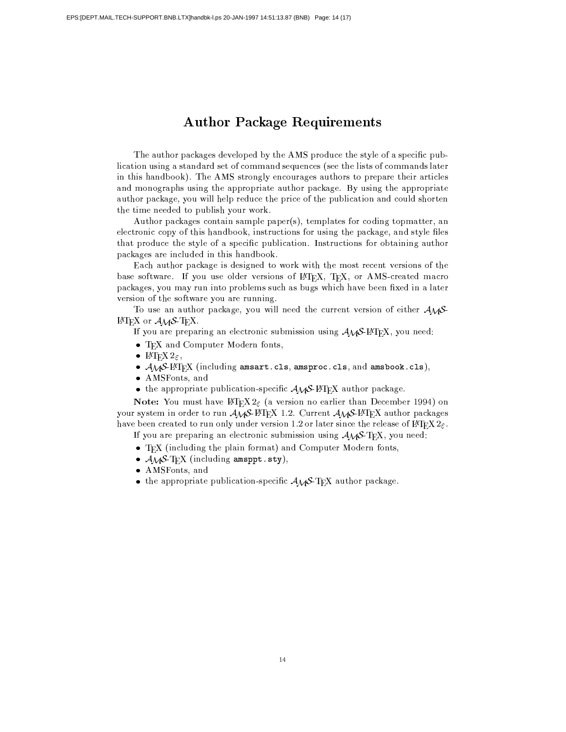### **Author Package Requirements**

The author packages developed by the AMS produce the style of a specific publication using a standard set of command sequences (see the lists of commands later in this handbook). The AMS strongly encourages authors to prepare their articles and monographs using the appropriate author package. By using the appropriate author package, you will help reduce the price of the publication and could shorten the time needed to publish your work.

Author packages contain sample paper(s), templates for coding topmatter, an electronic copy of this handbook, instructions for using the package, and style files that produce the style of a specific publication. Instructions for obtaining author packages are included in this handbook.

Each author package is designed to work with the most recent versions of the base software. If you use older versions of FIFX, TFX, or AMS-created macro packages, you may run into problems such as bugs which have been fixed in a later version of the software you are running.

To use an author package, you will need the current version of either  $A_{\mathcal{M}}\mathcal{S}$ -INTEX or  $A_{\mathcal{M}}\mathcal{S}$ -TEX.

If you are preparing an electronic submission using  $A_{\mathcal{M}}S$ -IAT<sub>E</sub>X, you need:

- TEX and Computer Modern fonts,
- $\mathbb{F} \mathbb{F} X 2_{\varepsilon}$
- 
- AMSFonts, and
- the appropriate publication-specific  $A_{\mathcal{M}}S$ -IAT<sub>F</sub>X author package.

**Note:** You must have  $\text{IFTF}_{\mathbf{X}}\mathbf{X}_\varepsilon$  (a version no earlier than December 1994) on your system in order to run  $A_{\mathcal{M}}S$ -IAT<sub>E</sub>X 1.2. Current  $A_{\mathcal{M}}S$ -IAT<sub>E</sub>X author packages have been created to run only under version 1.2 or later since the release of ISTEX  $2\varepsilon$ . If you are preparing an electronic submission using  $A_{\mathcal{M}}S$ -T<sub>E</sub>X, you need:

- TFX (including the plain format) and Computer Modern fonts,
- $\mathcal{A}_{\mathcal{M}}\mathcal{S}\text{-}\mathrm{Tr}X$  (including amsppt.sty),
- AMSFonts, and
- the appropriate publication-specific  $A_{\mathcal{M}}S$ -T<sub>E</sub>X author package.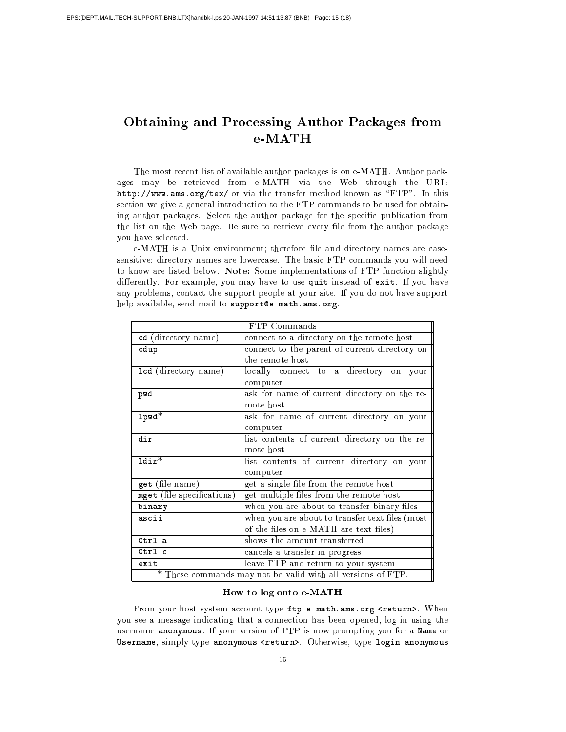## Obtaining and Processing Author Packages from  $e$ -MATH

The most recent list of available author packages is on e-MATH. Author packages may be retrieved from e-MATH via the Web through the URL: http://www.ams.org/tex/ or via the transfer method known as "FTP". In this section we give a general introduction to the FTP commands to be used for obtaining author packages. Select the author package for the specific publication from the list on the Web page. Be sure to retrieve every file from the author package you have selected.

e-MATH is a Unix environment; therefore file and directory names are casesensitive; directory names are lowercase. The basic FTP commands you will need to know are listed below. Note: Some implementations of FTP function slightly differently. For example, you may have to use quit instead of exit. If you have any problems, contact the support people at your site. If you do not have support help available, send mail to support@e-math.ams.org.

| FTP Commands                                                |                                                 |  |  |
|-------------------------------------------------------------|-------------------------------------------------|--|--|
| cd (directory name)                                         | connect to a directory on the remote host       |  |  |
| cdup                                                        | connect to the parent of current directory on   |  |  |
|                                                             | the remote host                                 |  |  |
| 1cd (directory name)                                        | locally connect to a directory on<br>your       |  |  |
|                                                             | computer                                        |  |  |
| pwd                                                         | ask for name of current directory on the re-    |  |  |
|                                                             | mote host                                       |  |  |
| $1$ pwd*                                                    | ask for name of current directory on your       |  |  |
|                                                             | computer                                        |  |  |
| dir                                                         | list contents of current directory on the re-   |  |  |
|                                                             | mote host                                       |  |  |
| $1\text{dir}^*$                                             | list contents of current directory on your      |  |  |
|                                                             | computer                                        |  |  |
| get (file name)                                             | get a single file from the remote host          |  |  |
| mget (file specifications)                                  | get multiple files from the remote host         |  |  |
| binary                                                      | when you are about to transfer binary files     |  |  |
| ascii                                                       | when you are about to transfer text files (most |  |  |
|                                                             | of the files on e-MATH are text files)          |  |  |
| Ctrl a                                                      | shows the amount transferred                    |  |  |
| Ctrl c                                                      | cancels a transfer in progress                  |  |  |
| exit                                                        | leave FTP and return to your system             |  |  |
| * These commands may not be valid with all versions of FTP. |                                                 |  |  |

#### How to log onto e-MATH

From your host system account type ftp e-math.ams.org <return>. When you see a message indicating that a connection has been opened, log in using the username anonymous. If your version of FTP is now prompting you for a Name or Username, simply type anonymous <return>. Otherwise, type login anonymous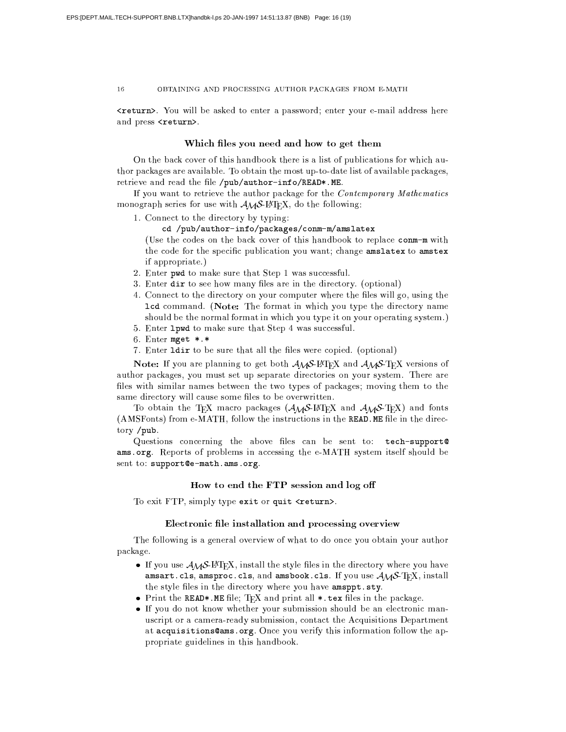OBTAINING AND PROCESSING AUTHOR PACKAGES FROM E-MATH

**<return>**. You will be asked to enter a password; enter your e-mail address here and press <return>.

#### Which files you need and how to get them

On the back cover of this handbook there is a list of publications for which author packages are available. To obtain the most up-to-date list of available packages, retrieve and read the file /pub/author-info/READ\*.ME.

If you want to retrieve the author package for the Contemporary Mathematics monograph series for use with  $A_{\mathcal{M}}S$ -LAT<sub>F</sub>X, do the following:

1. Connect to the directory by typing:

#### cd /pub/author-info/packages/conm-m/amslatex

(Use the codes on the back cover of this handbook to replace conm-m with the code for the specific publication you want; change amslatex to amstex if appropriate.)

- 2. Enter pwd to make sure that Step 1 was successful.
- 3. Enter dir to see how many files are in the directory. (optional)
- 4. Connect to the directory on your computer where the files will go, using the **1cd** command. (Note: The format in which you type the directory name should be the normal format in which you type it on your operating system.)
- 5. Enter 1 pwd to make sure that Step 4 was successful.
- 6. Enter mget \*.\*

16

7. Enter ldir to be sure that all the files were copied. (optional)

Note: If you are planning to get both  $A_{\mathcal{M}}\mathcal{S}$ -IATEX and  $A_{\mathcal{M}}\mathcal{S}$ -TEX versions of author packages, you must set up separate directories on your system. There are files with similar names between the two types of packages; moving them to the same directory will cause some files to be overwritten.

To obtain the T<sub>E</sub>X macro packages ( $\mathcal{A}_{\mathcal{M}}\mathcal{S}$ -L<sup>T</sup>EX and  $\mathcal{A}_{\mathcal{M}}\mathcal{S}$ -TEX) and fonts (AMSFonts) from e-MATH, follow the instructions in the READ. ME file in the direc $tory$  /pub

Questions concerning the above files can be sent to: tech-support@ ams.org. Reports of problems in accessing the e-MATH system itself should be sent to: support@e-math.ams.org.

#### How to end the FTP session and log off

To exit FTP, simply type exit or quit <return>.

#### Electronic file installation and processing overview

The following is a general overview of what to do once you obtain your author package.

- If you use  $A_{\mathcal{M}}\mathcal{S}\text{-}F\mathcal{F}_{\mathcal{F}}X$ , install the style files in the directory where you have amsart.cls, amsproc.cls, and amsbook.cls. If you use  $\mathcal{A}\mathcal{A}\mathcal{S}$ -TFX, install the style files in the directory where you have amsppt.sty.
- Print the READ\*. ME file;  $T$  $\overline{F}X$  and print all \*. tex files in the package.
- If you do not know whether your submission should be an electronic manuscript or a camera-ready submission, contact the Acquisitions Department at acquisitions@ams.org. Once you verify this information follow the appropriate guidelines in this handbook.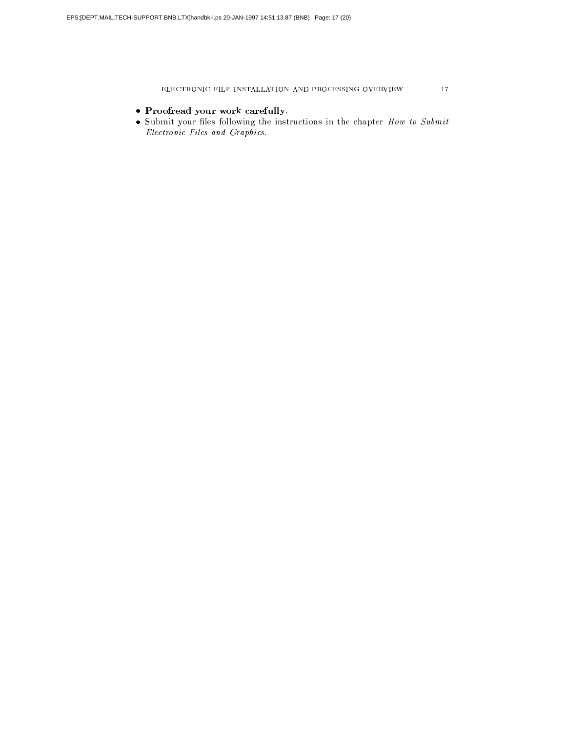ELECTRONIC FILE INSTALLATION AND PROCESSING OVERVIEW

 $17$ 

#### • Proofread your work carefully.

 $\bullet$  Submit your files following the instructions in the chapter How to Submit Electronic Files and Graphics.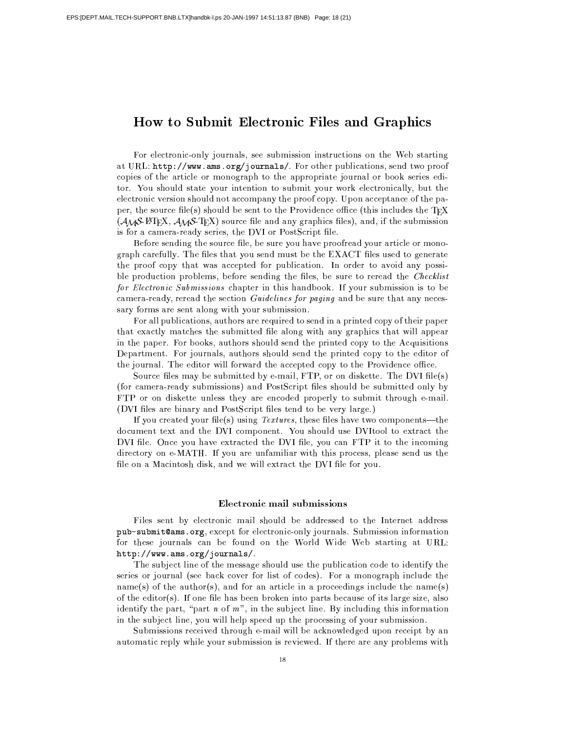### How to Submit Electronic Files and Graphics

For electronic-only journals, see submission instructions on the Web starting at URL: http://www.ams.org/journals/. For other publications, send two proof copies of the article or monograph to the appropriate journal or book series editor. You should state your intention to submit your work electronically, but the electronic version should not accompany the proof copy. Upon acceptance of the paper, the source file(s) should be sent to the Providence office (this includes the  $T_{F}X$  $(\mathcal{A}_{\mathcal{M}}\mathcal{S}\text{-}\mathbb{F}\mathrm{T}_{F}X, \mathcal{A}_{\mathcal{M}}\mathcal{S}\text{-}\mathrm{T}_{F}X)$  source file and any graphics files), and, if the submission is for a camera-ready series, the DVI or PostScript file.

Before sending the source file, be sure you have proofread your article or monograph carefully. The files that you send must be the EXACT files used to generate the proof copy that was accepted for publication. In order to avoid any possible production problems, before sending the files, be sure to reread the Checklist for Electronic Submissions chapter in this handbook. If your submission is to be camera-ready, reread the section Guidelines for paging and be sure that any necessary forms are sent along with your submission.

For all publications, authors are required to send in a printed copy of their paper that exactly matches the submitted file along with any graphics that will appear in the paper. For books, authors should send the printed copy to the Acquisitions Department. For journals, authors should send the printed copy to the editor of the journal. The editor will forward the accepted copy to the Providence office.

Source files may be submitted by e-mail, FTP, or on diskette. The DVI file(s) (for camera-ready submissions) and PostScript files should be submitted only by FTP or on diskette unless they are encoded properly to submit through e-mail. (DVI files are binary and PostScript files tend to be very large.)

If you created your file(s) using *Textures*, these files have two components—the document text and the DVI component. You should use DVItool to extract the DVI file. Once you have extracted the DVI file, you can FTP it to the incoming directory on e-MATH. If you are unfamiliar with this process, please send us the file on a Macintosh disk, and we will extract the DVI file for you.

#### Electronic mail submissions

Files sent by electronic mail should be addressed to the Internet address pub-submit@ams.org, except for electronic-only journals. Submission information for these journals can be found on the World Wide Web starting at URL: http://www.ams.org/journals/.

The subject line of the message should use the publication code to identify the series or journal (see back cover for list of codes). For a monograph include the name(s) of the author(s), and for an article in a proceedings include the name(s) of the editor(s). If one file has been broken into parts because of its large size, also identify the part, "part  $n$  of  $m$ ", in the subject line. By including this information in the subject line, you will help speed up the processing of your submission.

Submissions received through e-mail will be acknowledged upon receipt by an automatic reply while your submission is reviewed. If there are any problems with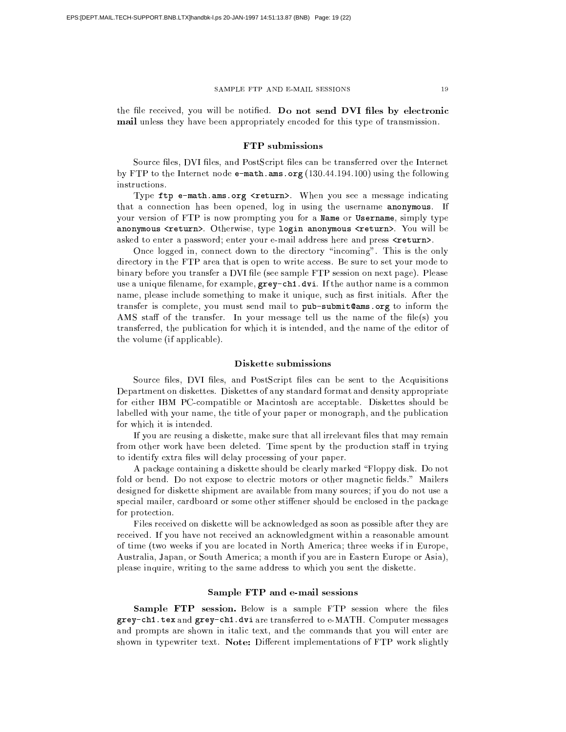the file received, you will be notified. Do not send DVI files by electronic mail unless they have been appropriately encoded for this type of transmission.

#### **FTP** submissions

Source files, DVI files, and PostScript files can be transferred over the Internet by FTP to the Internet node  $e$ -math.ams.org (130.44.194.100) using the following instructions.

Type ftp e-math.ams.org <return>. When you see a message indicating that a connection has been opened, log in using the username anonymous. If your version of FTP is now prompting you for a Name or Username, simply type anonymous <return>. Otherwise, type login anonymous <return>. You will be asked to enter a password; enter your e-mail address here and press <return>.

Once logged in, connect down to the directory "incoming". This is the only directory in the FTP area that is open to write access. Be sure to set your mode to binary before you transfer a DVI file (see sample FTP session on next page). Please use a unique filename, for example, grey-ch1.dvi. If the author name is a common name, please include something to make it unique, such as first initials. After the transfer is complete, you must send mail to pub-submit@ams.org to inform the AMS staff of the transfer. In your message tell us the name of the file(s) you transferred, the publication for which it is intended, and the name of the editor of the volume (if applicable).

#### Diskette submissions

Source files, DVI files, and PostScript files can be sent to the Acquisitions Department on diskettes. Diskettes of any standard format and density appropriate for either IBM PC-compatible or Macintosh are acceptable. Diskettes should be labelled with your name, the title of your paper or monograph, and the publication for which it is intended.

If you are reusing a diskette, make sure that all irrelevant files that may remain from other work have been deleted. Time spent by the production staff in trying to identify extra files will delay processing of your paper.

A package containing a diskette should be clearly marked "Floppy disk. Do not fold or bend. Do not expose to electric motors or other magnetic fields." Mailers designed for diskette shipment are available from many sources; if you do not use a special mailer, cardboard or some other stiffener should be enclosed in the package for protection.

Files received on diskette will be acknowledged as soon as possible after they are received. If you have not received an acknowledgment within a reasonable amount of time (two weeks if you are located in North America; three weeks if in Europe, Australia, Japan, or South America; a month if you are in Eastern Europe or Asia), please inquire, writing to the same address to which you sent the diskette.

#### Sample FTP and e-mail sessions

Sample FTP session. Below is a sample FTP session where the files grey-ch1.tex and grey-ch1.dvi are transferred to e-MATH. Computer messages and prompts are shown in italic text, and the commands that you will enter are shown in typewriter text. Note: Different implementations of FTP work slightly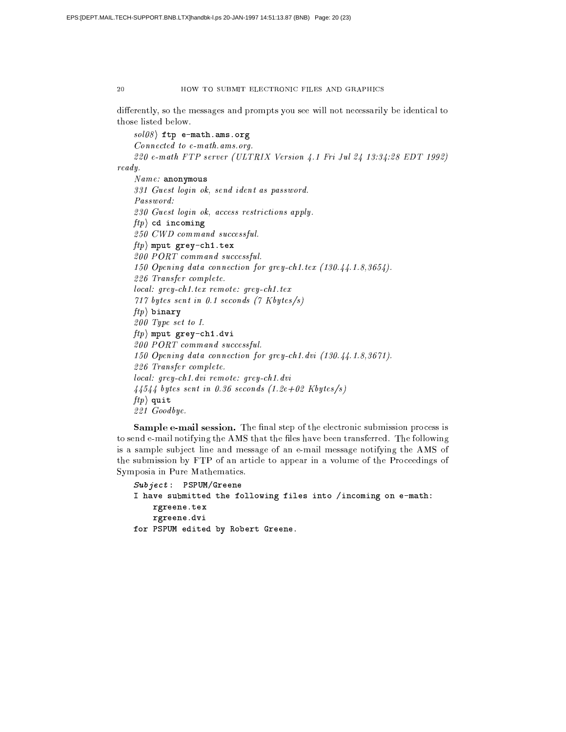20

#### HOW TO SUBMIT ELECTRONIC FILES AND GRAPHICS

differently, so the messages and prompts you see will not necessarily be identical to those listed below.

 $sol08$ } ftp e-math.ams.org Connected to e-math.ams.org. 220 e-math FTP server (ULTRIX Version 4.1 Fri Jul 24 13:34:28 EDT 1992) ready.  $Name:$  anonymous 331 Guest login ok, send ident as password. Password: 230 Guest login ok, access restrictions apply.  $ftp$  cd incoming 250 CWD command successful.  $ftp)$  mput grey-ch1.tex 200 PORT command successful. 150 Opening data connection for grey-ch1.tex  $(130.44.1.8, 3654)$ . 226 Transfer complete.  $local: grey-ch1.tex$  remote:  $grey-ch1.tex$  $717$  bytes sent in 0.1 seconds (7 Kbytes/s)  $ftp$  binary 200 Type set to I.  $ftp$  mput grey-ch1.dvi 200 PORT command successful. 150 Opening data connection for grey-ch1.dvi (130.44.1.8,3671). 226 Transfer complete. local: grey-ch1.dvi remote: grey-ch1.dvi  $44544$  bytes sent in 0.36 seconds (1.2e+02 Kbytes/s)  $ftp\$  quit  $221$  Goodbye.

Sample e-mail session. The final step of the electronic submission process is to send e-mail notifying the AMS that the files have been transferred. The following is a sample subject line and message of an e-mail message notifying the AMS of the submission by FTP of an article to appear in a volume of the Proceedings of Symposia in Pure Mathematics.

```
Subject: PSPUM/Greene
I have submitted the following files into /incoming on e-math:
   rgreene.tex
   rgreene.dvi
for PSPUM edited by Robert Greene.
```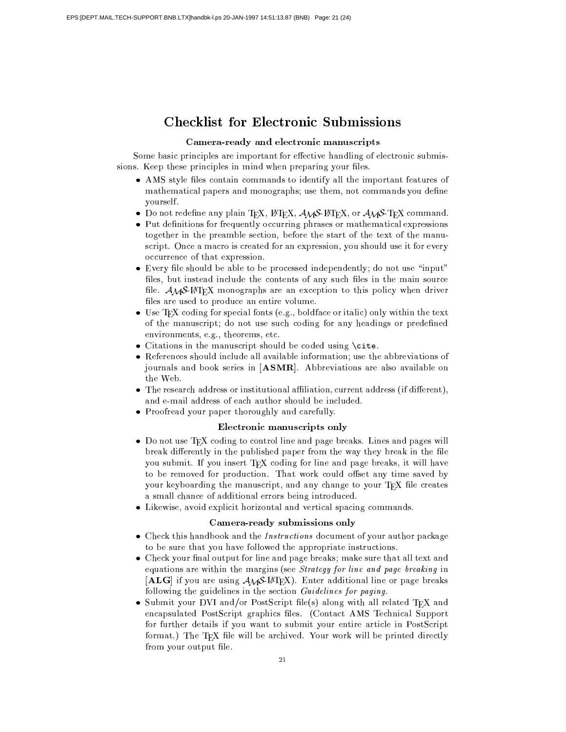### **Checklist for Electronic Submissions**

#### Camera-ready and electronic manuscripts

Some basic principles are important for effective handling of electronic submissions. Keep these principles in mind when preparing your files.

- AMS style files contain commands to identify all the important features of mathematical papers and monographs; use them, not commands you define vourself.
- Do not redefine any plain TEX, IATEX,  $A_{\mathcal{M}}\mathcal{S}\text{-}\mathrm{F}T_{\mathcal{E}}X$ , or  $A_{\mathcal{M}}\mathcal{S}\text{-}\mathrm{TEX}$  command.
- Put definitions for frequently occurring phrases or mathematical expressions together in the preamble section, before the start of the text of the manuscript. Once a macro is created for an expression, you should use it for every occurrence of that expression.
- Every file should be able to be processed independently; do not use "input" files, but instead include the contents of any such files in the main source file.  $A_{\mathcal{M}}S$ -IAT<sub>F</sub>X monographs are an exception to this policy when driver files are used to produce an entire volume.
- Use T<sub>F</sub>X coding for special fonts (e.g., boldface or italic) only within the text of the manuscript; do not use such coding for any headings or predefined environments, e.g., theorems, etc.
- Citations in the manuscript should be coded using \cite.
- References should include all available information; use the abbreviations of journals and book series in [ASMR]. Abbreviations are also available on the Web.
- The research address or institutional affiliation, current address (if different), and e-mail address of each author should be included.
- Proofread your paper thoroughly and carefully.

#### Electronic manuscripts only

- Do not use TFX coding to control line and page breaks. Lines and pages will break differently in the published paper from the way they break in the file you submit. If you insert T<sub>E</sub>X coding for line and page breaks, it will have to be removed for production. That work could offset any time saved by your keyboarding the manuscript, and any change to your T<sub>F</sub>X file creates a small chance of additional errors being introduced.
- Likewise, avoid explicit horizontal and vertical spacing commands.

#### Camera-ready submissions only

- Check this handbook and the *Instructions* document of your author package to be sure that you have followed the appropriate instructions.
- Check your final output for line and page breaks; make sure that all text and equations are within the margins (see Strategy for line and page breaking in [ALG] if you are using  $A_{\mathcal{M}}S$ -IAT<sub>E</sub>X). Enter additional line or page breaks following the guidelines in the section Guidelines for paging.
- Submit your DVI and/or PostScript file(s) along with all related TFX and encapsulated PostScript graphics files. (Contact AMS Technical Support for further details if you want to submit your entire article in PostScript format.) The TEX file will be archived. Your work will be printed directly from your output file.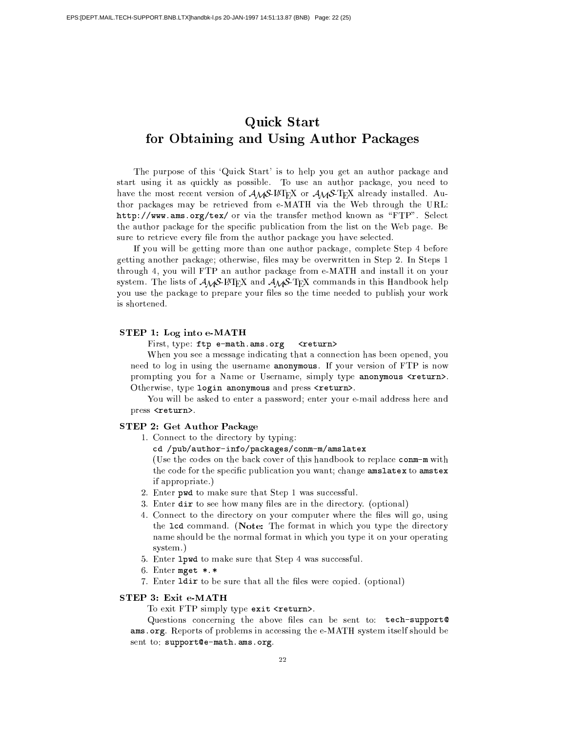## Quick Start for Obtaining and Using Author Packages

The purpose of this 'Quick Start' is to help you get an author package and start using it as quickly as possible. To use an author package, you need to have the most recent version of  $A_{\mathcal{M}}S$ -L<sup>AT</sup>EX or  $A_{\mathcal{M}}S$ -TEX already installed. Author packages may be retrieved from e-MATH via the Web through the URL: http://www.ams.org/tex/ or via the transfer method known as "FTP". Select the author package for the specific publication from the list on the Web page. Be sure to retrieve every file from the author package you have selected.

If you will be getting more than one author package, complete Step 4 before getting another package; otherwise, files may be overwritten in Step 2. In Steps 1 through 4, you will FTP an author package from e-MATH and install it on your system. The lists of  $A_{\mathcal{M}}S$ -FIFX and  $A_{\mathcal{M}}S$ -TFX commands in this Handbook help you use the package to prepare your files so the time needed to publish your work is shortened.

#### STEP 1: Log into e-MATH

First, type: ftp e-math.ams.org <return>

When you see a message indicating that a connection has been opened, you need to log in using the username anonymous. If your version of FTP is now prompting you for a Name or Username, simply type anonymous <return>. Otherwise, type login anonymous and press <return>.

You will be asked to enter a password; enter your e-mail address here and press <return>.

#### STEP 2: Get Author Package

- 1. Connect to the directory by typing:
	- cd /pub/author-info/packages/conm-m/amslatex

(Use the codes on the back cover of this handbook to replace conm-m with the code for the specific publication you want; change amslatex to amstex if appropriate.)

- 2. Enter pwd to make sure that Step 1 was successful.
- 3. Enter dir to see how many files are in the directory. (optional)
- 4. Connect to the directory on your computer where the files will go, using the 1cd command. (Note: The format in which you type the directory name should be the normal format in which you type it on your operating system.)
- 5. Enter 1pwd to make sure that Step 4 was successful.
- 6. Enter mget  $\ast \cdot \ast$
- 7. Enter **Idir** to be sure that all the files were copied. (optional)

#### STEP 3: Exit e-MATH

To exit FTP simply type exit <return>.

Questions concerning the above files can be sent to: tech-support@ ams.org. Reports of problems in accessing the e-MATH system itself should be sent to: support@e-math.ams.org.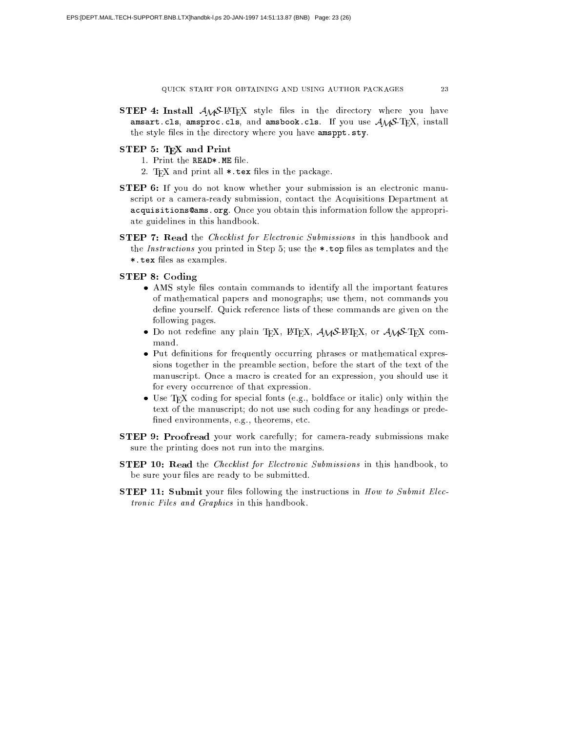- STEP 4: Install AMS-IATEX style files in the directory where you have amsart.cls, amsproc.cls, and amsbook.cls. If you use  $A\mathcal{M}S$ -TEX, install the style files in the directory where you have amsppt.sty.
- STEP 5: TEX and Print
	- 1. Print the READ\*. ME file.
	- 2. T<sub>F</sub>X and print all  $*$  tex files in the package.
- **STEP 6:** If you do not know whether your submission is an electronic manuscript or a camera-ready submission, contact the Acquisitions Department at acquisitions@ams.org. Once you obtain this information follow the appropriate guidelines in this handbook.
- **STEP 7: Read the Checklist for Electronic Submissions in this handbook and** the *Instructions* you printed in Step 5; use the \*.top files as templates and the \*.tex files as examples.
- STEP 8: Coding
	- AMS style files contain commands to identify all the important features of mathematical papers and monographs; use them, not commands you define yourself. Quick reference lists of these commands are given on the following pages.
	- Do not redefine any plain TEX, IMTEX,  $\mathcal{A}_{\mathcal{M}}\mathcal{S}\text{-}\mathrm{I}^{\mathrm{s}}\mathrm{I}^{\mathrm{c}}\mathrm{E}^{\mathrm{c}}$  and  $\mathcal{A}_{\mathcal{M}}\mathcal{S}\text{-}\mathrm{I}^{\mathrm{s}}\mathrm{E}^{\mathrm{c}}\mathrm{E}^{\mathrm{c}}$  are  $\mathcal{A}_{\mathcal{M}}\mathcal{S}\text{-}\mathrm{I}^{\mathrm{s}}\mathrm{E}^{\mathrm{c}}\mathrm{E}^{\mathrm{c}}$  are Do n mand.
	- Put definitions for frequently occurring phrases or mathematical expressions together in the preamble section, before the start of the text of the manuscript. Once a macro is created for an expression, you should use it for every occurrence of that expression.
	- Use T<sub>F</sub>X coding for special fonts (e.g., boldface or italic) only within the text of the manuscript; do not use such coding for any headings or predefined environments, e.g., theorems, etc.
- **STEP 9: Proofread** your work carefully; for camera-ready submissions make sure the printing does not run into the margins.
- STEP 10: Read the Checklist for Electronic Submissions in this handbook, to be sure your files are ready to be submitted.
- **STEP 11: Submit** your files following the instructions in *How to Submit Elec*tronic Files and Graphics in this handbook.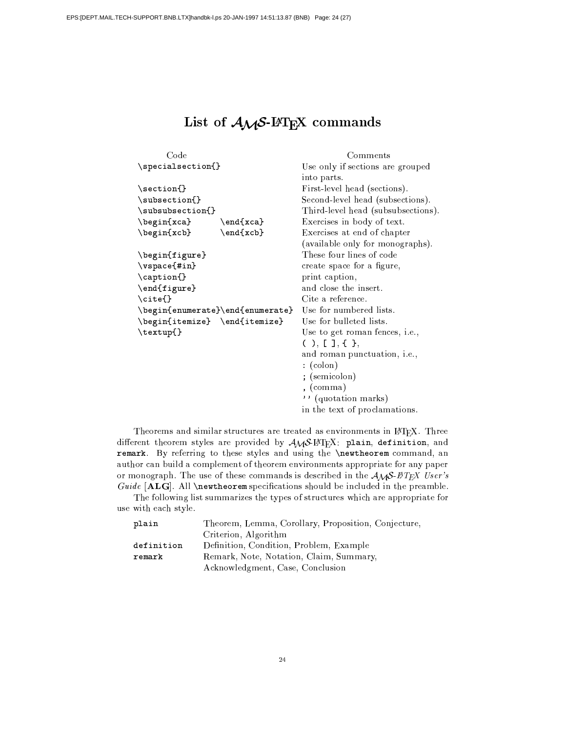## List of  $\mathcal{A}_{\mathcal{M}}\mathcal{S}\text{-}\mathbb{P}\mathrm{T}_{E}\mathrm{X}$  commands

| Code                             |              | Comments                           |  |
|----------------------------------|--------------|------------------------------------|--|
| \specialsection{}                |              | Use only if sections are grouped   |  |
|                                  |              | into parts.                        |  |
| \section{}                       |              | First-level head (sections).       |  |
| \subsection{}                    |              | Second-level head (subsections).   |  |
| \subsubsection{}                 |              | Third-level head (subsubsections). |  |
| \begin{xca}                      | $\end{txca}$ | Exercises in body of text.         |  |
| \begin{xcb}                      | $\end{txcb}$ | Exercises at end of chapter        |  |
|                                  |              | (available only for monographs).   |  |
| \begin{figure}                   |              | These four lines of code           |  |
| $\varepsilon$ \vspace {#in}      |              | create space for a figure,         |  |
| \caption{}                       |              | print caption,                     |  |
| \end{figure}                     |              | and close the insert.              |  |
| $\setminus$ cite $\{\}$          |              | Cite a reference.                  |  |
| \begin{enumerate}\end{enumerate} |              | Use for numbered lists.            |  |
| \begin{itemize} \end{itemize}    |              | Use for bulleted lists.            |  |
| \textup{}                        |              | Use to get roman fences, i.e.,     |  |
|                                  |              | $( )$ , [ ], { },                  |  |
|                                  |              | and roman punctuation, i.e.,       |  |
|                                  |              | $:(\text{colon})$                  |  |
|                                  |              | ; (semicolon)                      |  |
|                                  |              | , (comm)                           |  |
|                                  |              | (quotation marks)                  |  |

in the text of proclamations.

Theorems and similar structures are treated as environments in IATEX. Three different theorem styles are provided by  $A_{\mathcal{M}}S$ -IAT<sub>E</sub>X: plain, definition, and remark. By referring to these styles and using the \newtheorem command, an author can build a complement of theorem environments appropriate for any paper or monograph. The use of these commands is described in the  $A_{\mathcal{M}}\mathcal{S}\text{-}E_{\mathcal{I}}E_{\mathcal{X}}$  User's Guide [ALG]. All \newtheorem specifications should be included in the preamble.

The following list summarizes the types of structures which are appropriate for use with each style.

| plain      | Theorem, Lemma, Corollary, Proposition, Conjecture, |
|------------|-----------------------------------------------------|
|            | Criterion, Algorithm                                |
| definition | Definition, Condition, Problem, Example             |
| remark     | Remark, Note, Notation, Claim, Summary,             |
|            | Acknowledgment, Case, Conclusion                    |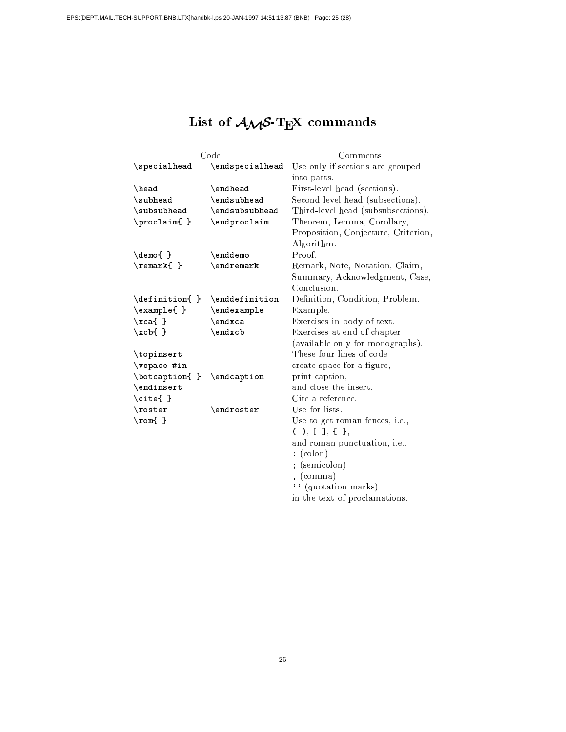# List of  $\mathcal{A}\!\mathcal{M}\!\mathcal{S}\text{-}\mathrm{TE}\mathrm{X}$  commands

| Code                       |                               | Comments                                        |  |  |
|----------------------------|-------------------------------|-------------------------------------------------|--|--|
| \specialhead               | \endspecialhead               | Use only if sections are grouped<br>into parts. |  |  |
| \head                      | \endhead                      | First-level head (sections).                    |  |  |
| \subhead                   | \endsubhead                   | Second-level head (subsections).                |  |  |
| \subsubhead                | \endsubsubhead                | Third-level head (subsubsections).              |  |  |
| \proclaim{ }               | \endproclaim                  | Theorem, Lemma, Corollary,                      |  |  |
|                            |                               | Proposition, Conjecture, Criterion,             |  |  |
|                            |                               | Algorithm.                                      |  |  |
| \demo{ }                   | \enddemo                      | Proof.                                          |  |  |
| $\text{remark} \}$         | \endremark                    | Remark, Note, Notation, Claim,                  |  |  |
|                            |                               | Summary, Acknowledgment, Case,                  |  |  |
|                            |                               | Conclusion.                                     |  |  |
| \definition{ }             | \enddefinition                | Definition, Condition, Problem.                 |  |  |
| \example{ }                |                               | Example.                                        |  |  |
| $\xca\{\}$                 | $\end{math}$<br>$\end{array}$ | Exercises in body of text.                      |  |  |
| $xcb$ { }                  | \endxcb                       | Exercises at end of chapter                     |  |  |
|                            |                               | (available only for monographs).                |  |  |
| \topinsert                 |                               | These four lines of code                        |  |  |
| \vspace #in                |                               | create space for a figure,                      |  |  |
| \botcaption{ } \endcaption |                               | print caption,                                  |  |  |
| \endinsert                 |                               | and close the insert.                           |  |  |
| \cite{ }                   |                               | Cite a reference.                               |  |  |
| \roster                    | \endroster                    | Use for lists.                                  |  |  |
| $\mathrm{1}$               |                               | Use to get roman fences, i.e.,                  |  |  |
|                            |                               | $( )$ , [ ], { },                               |  |  |
|                            |                               | and roman punctuation, i.e.,                    |  |  |
|                            |                               | $:(\text{colon})$                               |  |  |
|                            |                               | ; (semicolon)                                   |  |  |
|                            |                               | (comma)                                         |  |  |
|                            |                               | (quotation marks)                               |  |  |
|                            |                               |                                                 |  |  |

in the text of proclamations.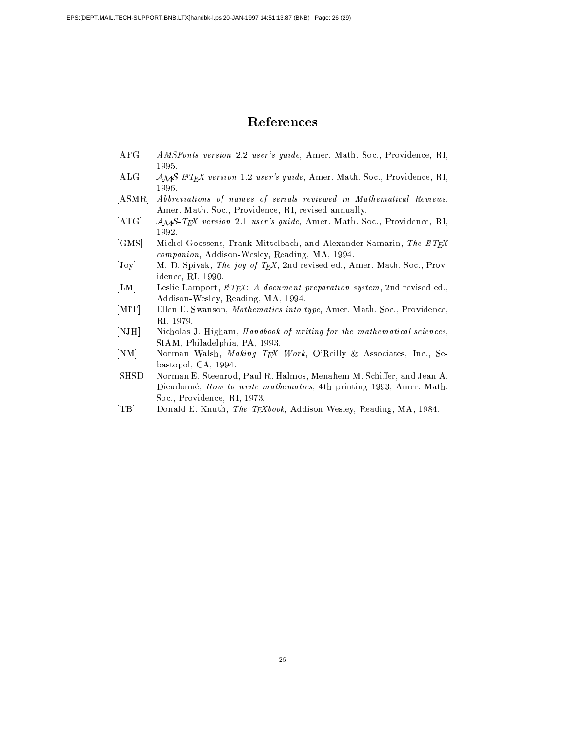## References

- $[AFG]$ *AMSFonts version 2.2 user's guide*, Amer. Math. Soc., Providence, RI, 1995.
- $[ALG]$  $A_{\mathcal{M}}\mathcal{S}\text{-}E T_F X$  version 1.2 user's guide, Amer. Math. Soc., Providence, RI, 1996.
- Abbreviations of names of serials reviewed in Mathematical Reviews,  $[ASMR]$ Amer. Math. Soc., Providence, RI, revised annually.
- $[ATG]$  $A_{\mathcal{M}}\mathcal{S}$ -T<sub>F</sub>X version 2.1 user's guide, Amer. Math. Soc., Providence, RI, 1992.
- Michel Goossens, Frank Mittelbach, and Alexander Samarin, The FIFX  $[GMS]$ companion, Addison-Wesley, Reading, MA, 1994.
- M. D. Spivak, The joy of TEX, 2nd revised ed., Amer. Math. Soc., Prov- $[\mathrm{Joy}]$ idence, RI, 1990.
- Leslie Lamport,  $\cancel{p}T\cancel{p}X$ : A document preparation system, 2nd revised ed.,  $[LM]$ Addison-Wesley, Reading, MA, 1994.
- $[MIT]$ Ellen E. Swanson, Mathematics into type, Amer. Math. Soc., Providence, RI, 1979.
- $[NJH]$ Nicholas J. Higham, Handbook of writing for the mathematical sciences, SIAM, Philadelphia, PA, 1993.
- $[NM]$ Norman Walsh, Making TFX Work, O'Reilly & Associates, Inc., Sebastopol, CA, 1994.
- Norman E. Steenrod, Paul R. Halmos, Menahem M. Schiffer, and Jean A. [SHSD] Dieudonné, How to write mathematics, 4th printing 1993, Amer. Math. Soc., Providence, RI, 1973.
- Donald E. Knuth, The TEXbook, Addison-Wesley, Reading, MA, 1984.  $[TB]$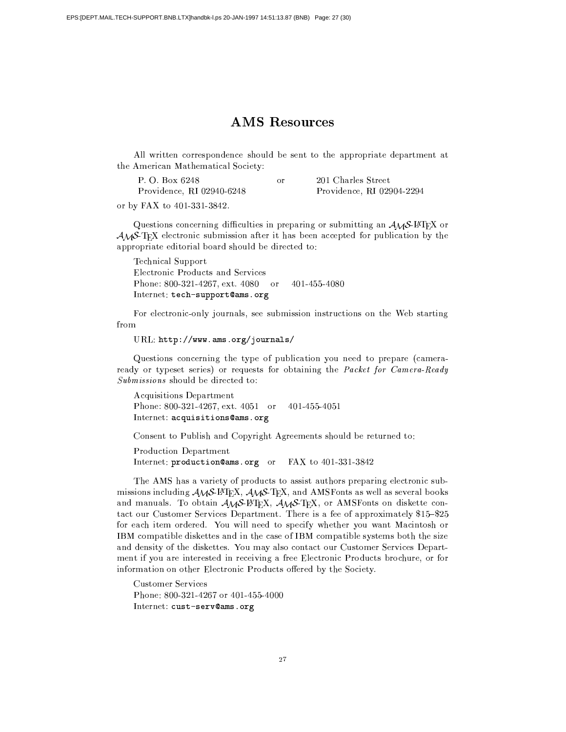## **AMS** Resources

All written correspondence should be sent to the appropriate department at the American Mathematical Society:

| P. O. Box 6248            | 201 Charles Street        |
|---------------------------|---------------------------|
| Providence, RI 02940-6248 | Providence, RI 02904-2294 |

or by FAX to 401-331-3842.

Questions concerning difficulties in preparing or submitting an  $A\mathcal{M}S$ -L<sup>AT</sup>FX or  $\mathcal{A}_{\mathcal{M}}\mathcal{S}$ -T<sub>F</sub>X electronic submission after it has been accepted for publication by the appropriate editorial board should be directed to:

Technical Support Electronic Products and Services Phone: 800-321-4267, ext. 4080 **or** 401-455-4080 Internet: tech-support@ams.org

For electronic-only journals, see submission instructions on the Web starting from

#### URL: http://www.ams.org/journals/

Questions concerning the type of publication you need to prepare (cameraready or typeset series) or requests for obtaining the Packet for Camera-Ready Submissions should be directed to:

**Acquisitions Department** Phone: 800-321-4267, ext. 4051 or 401-455-4051 Internet: acquisitions@ams.org

Consent to Publish and Copyright Agreements should be returned to:

**Production Department** Internet: production@ams.org or FAX to 401-331-3842

The AMS has a variety of products to assist authors preparing electronic submissions including  $A\mathcal{M}S$ -IATEX,  $A\mathcal{M}S$ -TEX, and AMSFonts as well as several books and manuals. To obtain  $A_{\mathcal{M}}S$ -IAT<sub>E</sub>X,  $A_{\mathcal{M}}S$ -T<sub>E</sub>X, or AMSFonts on diskette contact our Customer Services Department. There is a fee of approximately \$15-\$25 for each item ordered. You will need to specify whether you want Macintosh or IBM compatible diskettes and in the case of IBM compatible systems both the size and density of the diskettes. You may also contact our Customer Services Department if you are interested in receiving a free Electronic Products brochure, or for information on other Electronic Products offered by the Society.

Customer Services Phone: 800-321-4267 or 401-455-4000 Internet: cust-serv@ams.org